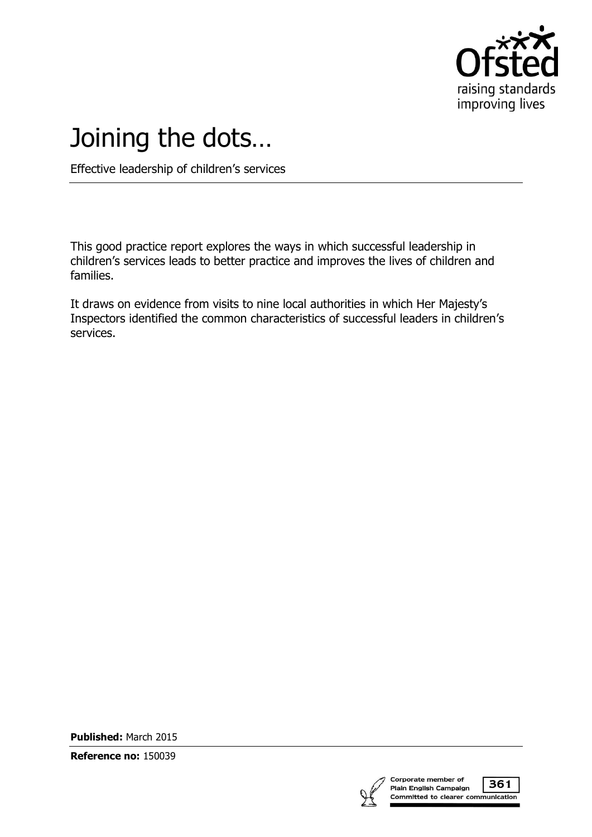

# Joining the dots…

Effective leadership of children's services

This good practice report explores the ways in which successful leadership in children's services leads to better practice and improves the lives of children and families.

It draws on evidence from visits to nine local authorities in which Her Majesty's Inspectors identified the common characteristics of successful leaders in children's services.

**Published:** March 2015

**Reference no:** 150039



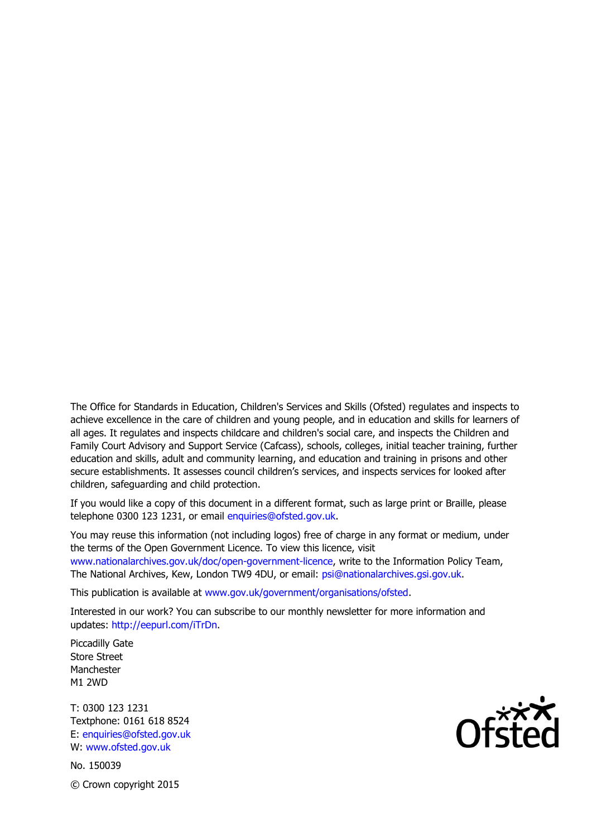The Office for Standards in Education, Children's Services and Skills (Ofsted) regulates and inspects to achieve excellence in the care of children and young people, and in education and skills for learners of all ages. It regulates and inspects childcare and children's social care, and inspects the Children and Family Court Advisory and Support Service (Cafcass), schools, colleges, initial teacher training, further education and skills, adult and community learning, and education and training in prisons and other secure establishments. It assesses council children's services, and inspects services for looked after children, safeguarding and child protection.

If you would like a copy of this document in a different format, such as large print or Braille, please telephone 0300 123 1231, or email enquiries@ofsted.gov.uk.

You may reuse this information (not including logos) free of charge in any format or medium, under the terms of the Open Government Licence. To view this licence, visit www.nationalarchives.gov.uk/doc/open-government-licence, write to the Information Policy Team, The National Archives, Kew, London TW9 4DU, or email: psi@nationalarchives.gsi.gov.uk.

This publication is available at www.gov.uk/government/organisations/ofsted.

Interested in our work? You can subscribe to our monthly newsletter for more information and updates: http://eepurl.com/iTrDn.

Piccadilly Gate Store Street Manchester M1 2WD

T: 0300 123 1231 Textphone: 0161 618 8524 E: enquiries@ofsted.gov.uk W: www.ofsted.gov.uk

No. 150039 © Crown copyright 2015

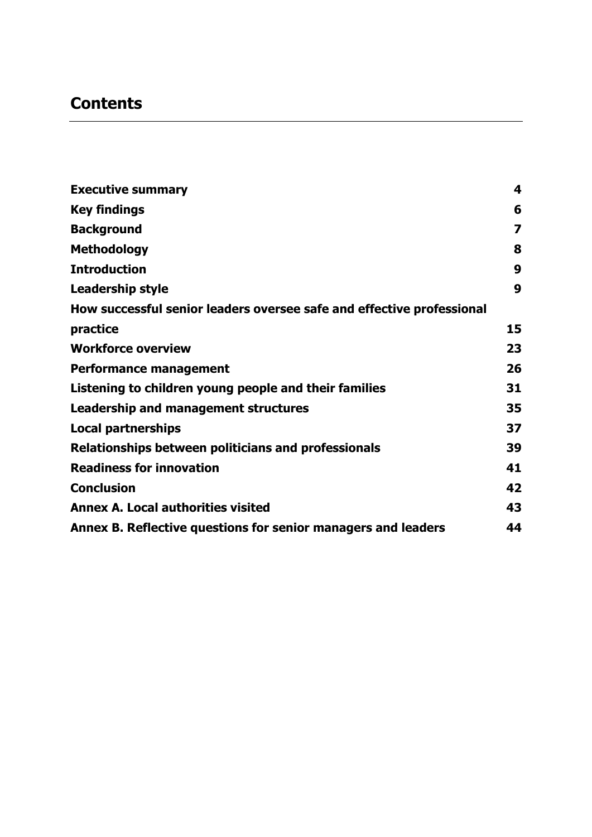# **Contents**

| <b>Executive summary</b>                                              | 4                       |
|-----------------------------------------------------------------------|-------------------------|
| <b>Key findings</b>                                                   | 6                       |
| <b>Background</b>                                                     | $\overline{\mathbf{z}}$ |
| <b>Methodology</b>                                                    | 8                       |
| <b>Introduction</b>                                                   | 9                       |
| <b>Leadership style</b>                                               | 9                       |
| How successful senior leaders oversee safe and effective professional |                         |
| practice                                                              | 15                      |
| <b>Workforce overview</b>                                             | 23                      |
| Performance management                                                | 26                      |
| Listening to children young people and their families                 | 31                      |
| Leadership and management structures                                  | 35                      |
| <b>Local partnerships</b>                                             | 37                      |
| Relationships between politicians and professionals                   | 39                      |
| <b>Readiness for innovation</b>                                       | 41                      |
| <b>Conclusion</b>                                                     | 42                      |
| <b>Annex A. Local authorities visited</b>                             | 43                      |
| Annex B. Reflective questions for senior managers and leaders         | 44                      |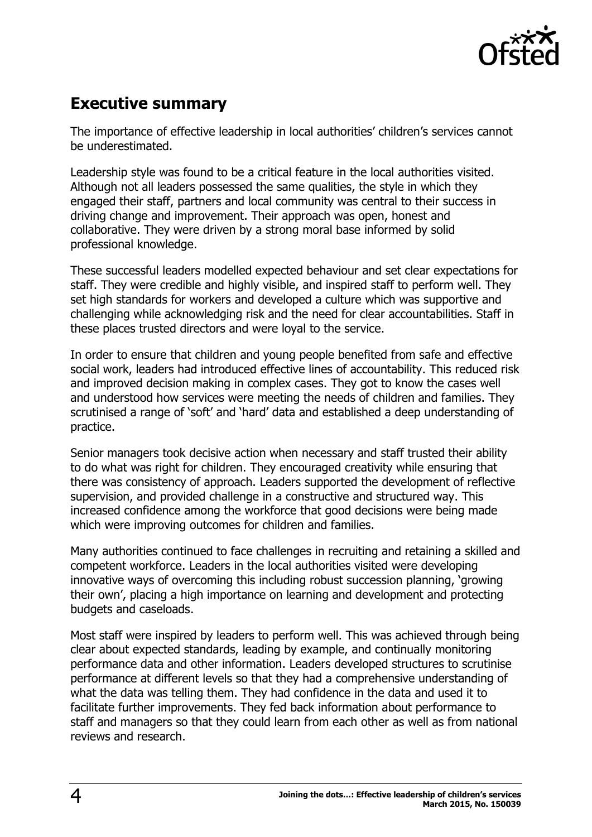

# <span id="page-3-0"></span>**Executive summary**

The importance of effective leadership in local authorities' children's services cannot be underestimated.

Leadership style was found to be a critical feature in the local authorities visited. Although not all leaders possessed the same qualities, the style in which they engaged their staff, partners and local community was central to their success in driving change and improvement. Their approach was open, honest and collaborative. They were driven by a strong moral base informed by solid professional knowledge.

These successful leaders modelled expected behaviour and set clear expectations for staff. They were credible and highly visible, and inspired staff to perform well. They set high standards for workers and developed a culture which was supportive and challenging while acknowledging risk and the need for clear accountabilities. Staff in these places trusted directors and were loyal to the service.

In order to ensure that children and young people benefited from safe and effective social work, leaders had introduced effective lines of accountability. This reduced risk and improved decision making in complex cases. They got to know the cases well and understood how services were meeting the needs of children and families. They scrutinised a range of 'soft' and 'hard' data and established a deep understanding of practice.

Senior managers took decisive action when necessary and staff trusted their ability to do what was right for children. They encouraged creativity while ensuring that there was consistency of approach. Leaders supported the development of reflective supervision, and provided challenge in a constructive and structured way. This increased confidence among the workforce that good decisions were being made which were improving outcomes for children and families.

Many authorities continued to face challenges in recruiting and retaining a skilled and competent workforce. Leaders in the local authorities visited were developing innovative ways of overcoming this including robust succession planning, 'growing their own', placing a high importance on learning and development and protecting budgets and caseloads.

Most staff were inspired by leaders to perform well. This was achieved through being clear about expected standards, leading by example, and continually monitoring performance data and other information. Leaders developed structures to scrutinise performance at different levels so that they had a comprehensive understanding of what the data was telling them. They had confidence in the data and used it to facilitate further improvements. They fed back information about performance to staff and managers so that they could learn from each other as well as from national reviews and research.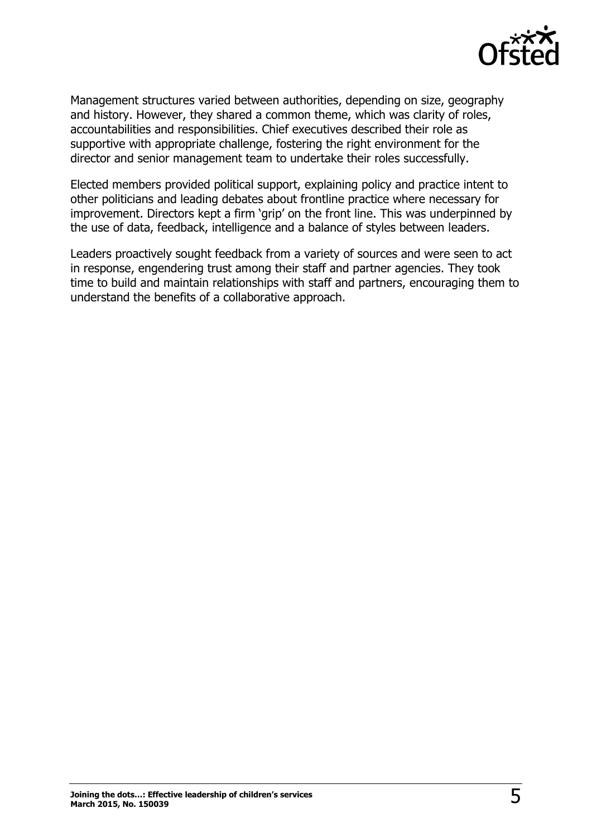

Management structures varied between authorities, depending on size, geography and history. However, they shared a common theme, which was clarity of roles, accountabilities and responsibilities. Chief executives described their role as supportive with appropriate challenge, fostering the right environment for the director and senior management team to undertake their roles successfully.

Elected members provided political support, explaining policy and practice intent to other politicians and leading debates about frontline practice where necessary for improvement. Directors kept a firm 'grip' on the front line. This was underpinned by the use of data, feedback, intelligence and a balance of styles between leaders.

Leaders proactively sought feedback from a variety of sources and were seen to act in response, engendering trust among their staff and partner agencies. They took time to build and maintain relationships with staff and partners, encouraging them to understand the benefits of a collaborative approach.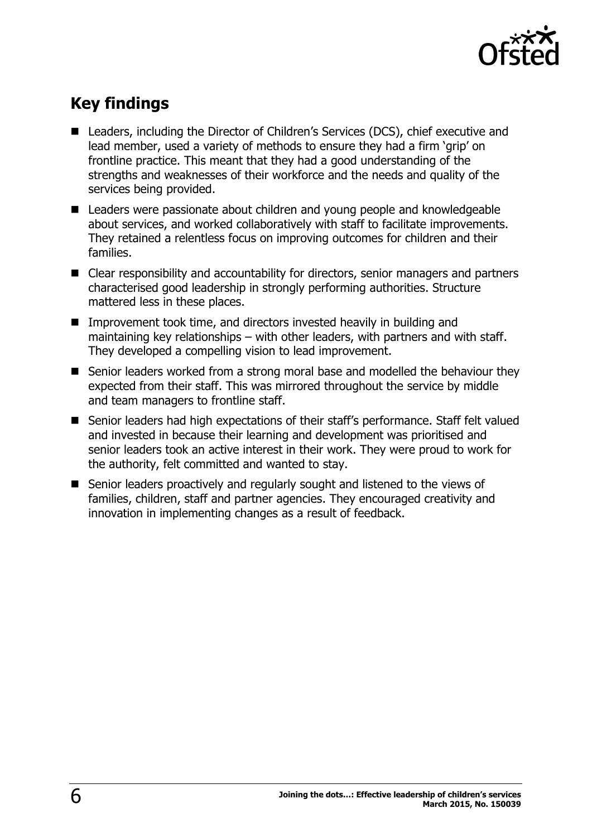

# <span id="page-5-0"></span>**Key findings**

- Leaders, including the Director of Children's Services (DCS), chief executive and lead member, used a variety of methods to ensure they had a firm 'grip' on frontline practice. This meant that they had a good understanding of the strengths and weaknesses of their workforce and the needs and quality of the services being provided.
- Leaders were passionate about children and young people and knowledgeable about services, and worked collaboratively with staff to facilitate improvements. They retained a relentless focus on improving outcomes for children and their families.
- Clear responsibility and accountability for directors, senior managers and partners characterised good leadership in strongly performing authorities. Structure mattered less in these places.
- Improvement took time, and directors invested heavily in building and maintaining key relationships – with other leaders, with partners and with staff. They developed a compelling vision to lead improvement.
- Senior leaders worked from a strong moral base and modelled the behaviour they expected from their staff. This was mirrored throughout the service by middle and team managers to frontline staff.
- Senior leaders had high expectations of their staff's performance. Staff felt valued and invested in because their learning and development was prioritised and senior leaders took an active interest in their work. They were proud to work for the authority, felt committed and wanted to stay.
- Senior leaders proactively and regularly sought and listened to the views of families, children, staff and partner agencies. They encouraged creativity and innovation in implementing changes as a result of feedback.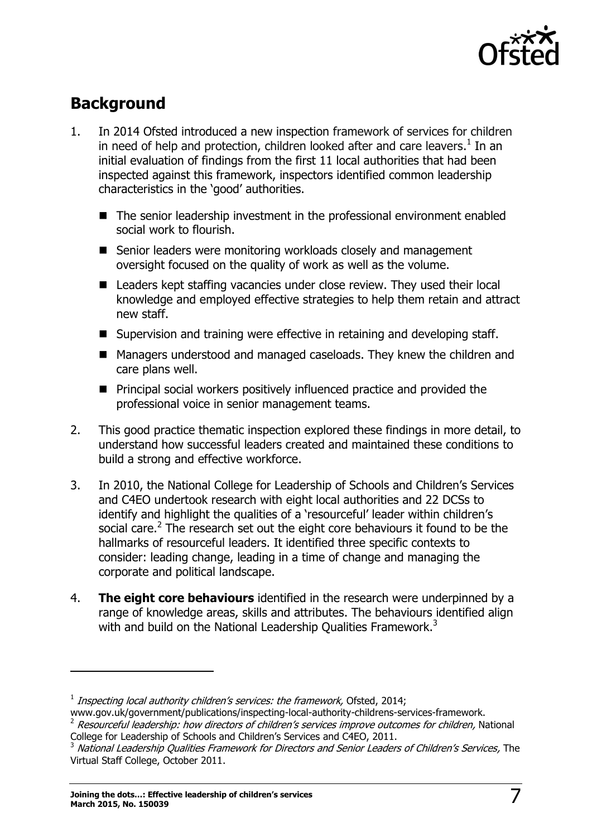

# <span id="page-6-0"></span>**Background**

- 1. In 2014 Ofsted introduced a new inspection framework of services for children in need of help and protection, children looked after and care leavers. $<sup>1</sup>$  In an</sup> initial evaluation of findings from the first 11 local authorities that had been inspected against this framework, inspectors identified common leadership characteristics in the 'good' authorities.
	- The senior leadership investment in the professional environment enabled social work to flourish.
	- Senior leaders were monitoring workloads closely and management oversight focused on the quality of work as well as the volume.
	- Leaders kept staffing vacancies under close review. They used their local knowledge and employed effective strategies to help them retain and attract new staff.
	- Supervision and training were effective in retaining and developing staff.
	- Managers understood and managed caseloads. They knew the children and care plans well.
	- Principal social workers positively influenced practice and provided the professional voice in senior management teams.
- 2. This good practice thematic inspection explored these findings in more detail, to understand how successful leaders created and maintained these conditions to build a strong and effective workforce.
- 3. In 2010, the National College for Leadership of Schools and Children's Services and C4EO undertook research with eight local authorities and 22 DCSs to identify and highlight the qualities of a 'resourceful' leader within children's social care.<sup>2</sup> The research set out the eight core behaviours it found to be the hallmarks of resourceful leaders. It identified three specific contexts to consider: leading change, leading in a time of change and managing the corporate and political landscape.
- 4. **The eight core behaviours** identified in the research were underpinned by a range of knowledge areas, skills and attributes. The behaviours identified align with and build on the National Leadership Qualities Framework.<sup>3</sup>

 $\overline{a}$ 

 $^1$  Inspecting local authority children's services: the framework, Ofsted, 2014;

www.gov.uk/government/publications/inspecting-local-authority-childrens-services-framework.

 $2$  Resourceful leadership: how directors of children's services improve outcomes for children, National College for Leadership of Schools and Children's Services and C4EO, 2011.

<sup>&</sup>lt;sup>3</sup> National Leadership Qualities Framework for Directors and Senior Leaders of Children's Services, The Virtual Staff College, October 2011.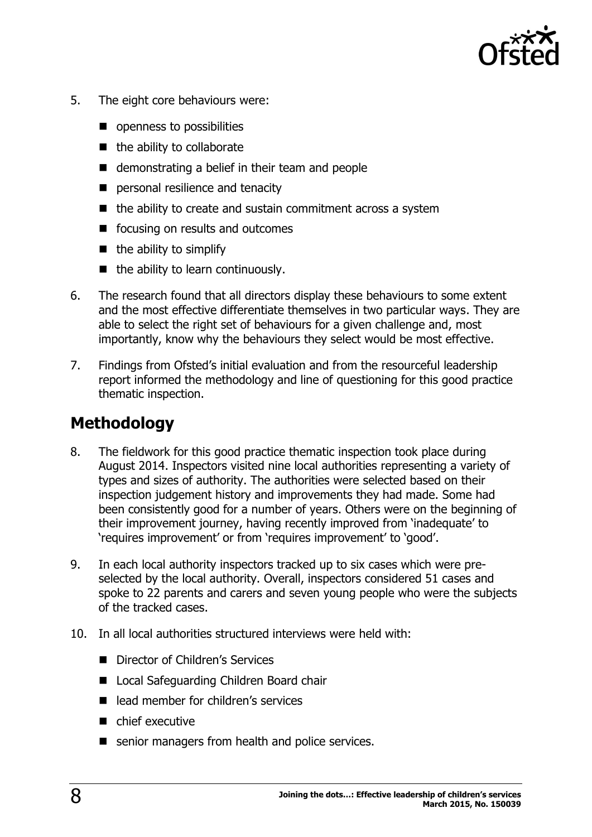

- 5. The eight core behaviours were:
	- $\blacksquare$  openness to possibilities
	- $\blacksquare$  the ability to collaborate
	- demonstrating a belief in their team and people
	- **P** personal resilience and tenacity
	- $\blacksquare$  the ability to create and sustain commitment across a system
	- focusing on results and outcomes
	- $\blacksquare$  the ability to simplify
	- $\blacksquare$  the ability to learn continuously.
- 6. The research found that all directors display these behaviours to some extent and the most effective differentiate themselves in two particular ways. They are able to select the right set of behaviours for a given challenge and, most importantly, know why the behaviours they select would be most effective.
- 7. Findings from Ofsted's initial evaluation and from the resourceful leadership report informed the methodology and line of questioning for this good practice thematic inspection.

### <span id="page-7-0"></span>**Methodology**

- 8. The fieldwork for this good practice thematic inspection took place during August 2014. Inspectors visited nine local authorities representing a variety of types and sizes of authority. The authorities were selected based on their inspection judgement history and improvements they had made. Some had been consistently good for a number of years. Others were on the beginning of their improvement journey, having recently improved from 'inadequate' to 'requires improvement' or from 'requires improvement' to 'good'.
- 9. In each local authority inspectors tracked up to six cases which were preselected by the local authority. Overall, inspectors considered 51 cases and spoke to 22 parents and carers and seven young people who were the subjects of the tracked cases.
- 10. In all local authorities structured interviews were held with:
	- Director of Children's Services
	- Local Safeguarding Children Board chair
	- $\blacksquare$  lead member for children's services
	- chief executive
	- senior managers from health and police services.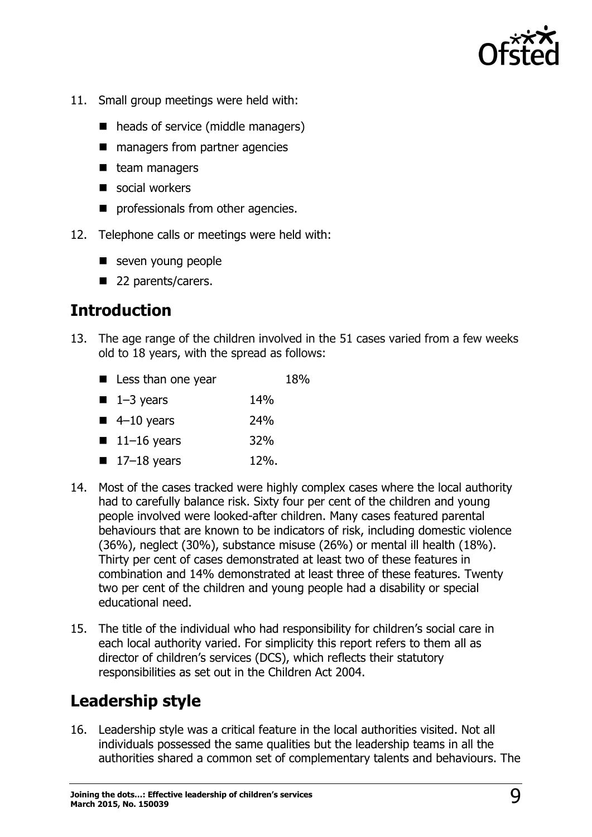

- 11. Small group meetings were held with:
	- heads of service (middle managers)
	- managers from partner agencies
	- $\blacksquare$  team managers
	- social workers
	- **n** professionals from other agencies.
- 12. Telephone calls or meetings were held with:
	- seven young people
	- 22 parents/carers.

### <span id="page-8-0"></span>**Introduction**

- 13. The age range of the children involved in the 51 cases varied from a few weeks old to 18 years, with the spread as follows:
	- Less than one year 18%
	- $\blacksquare$  1–3 years 14%
	- $\blacksquare$  4–10 years 24%
	- $11-16$  years 32%
	- $\blacksquare$  17–18 years 12%.
- 14. Most of the cases tracked were highly complex cases where the local authority had to carefully balance risk. Sixty four per cent of the children and young people involved were looked-after children. Many cases featured parental behaviours that are known to be indicators of risk, including domestic violence (36%), neglect (30%), substance misuse (26%) or mental ill health (18%). Thirty per cent of cases demonstrated at least two of these features in combination and 14% demonstrated at least three of these features. Twenty two per cent of the children and young people had a disability or special educational need.
- 15. The title of the individual who had responsibility for children's social care in each local authority varied. For simplicity this report refers to them all as director of children's services (DCS), which reflects their statutory responsibilities as set out in the Children Act 2004.

# <span id="page-8-1"></span>**Leadership style**

16. Leadership style was a critical feature in the local authorities visited. Not all individuals possessed the same qualities but the leadership teams in all the authorities shared a common set of complementary talents and behaviours. The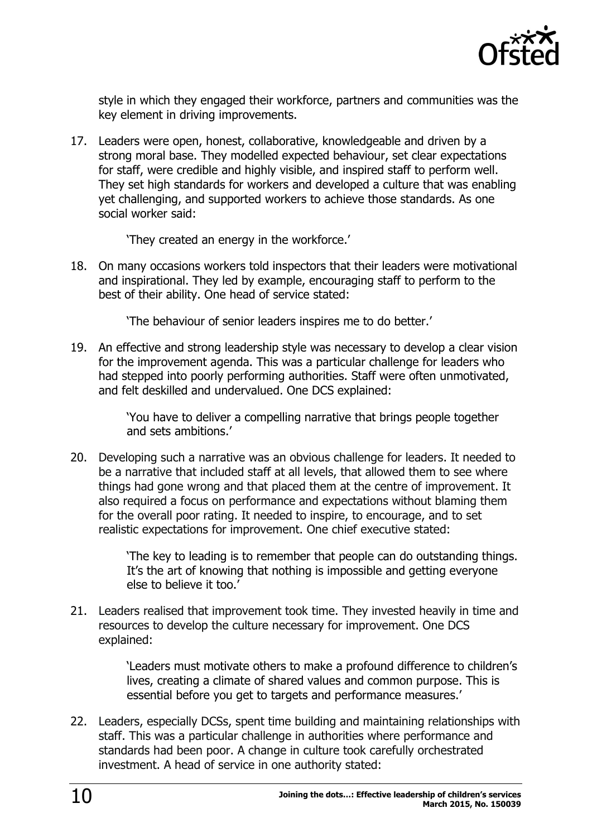

style in which they engaged their workforce, partners and communities was the key element in driving improvements.

17. Leaders were open, honest, collaborative, knowledgeable and driven by a strong moral base. They modelled expected behaviour, set clear expectations for staff, were credible and highly visible, and inspired staff to perform well. They set high standards for workers and developed a culture that was enabling yet challenging, and supported workers to achieve those standards. As one social worker said:

'They created an energy in the workforce.'

18. On many occasions workers told inspectors that their leaders were motivational and inspirational. They led by example, encouraging staff to perform to the best of their ability. One head of service stated:

'The behaviour of senior leaders inspires me to do better.'

19. An effective and strong leadership style was necessary to develop a clear vision for the improvement agenda. This was a particular challenge for leaders who had stepped into poorly performing authorities. Staff were often unmotivated, and felt deskilled and undervalued. One DCS explained:

> 'You have to deliver a compelling narrative that brings people together and sets ambitions.'

20. Developing such a narrative was an obvious challenge for leaders. It needed to be a narrative that included staff at all levels, that allowed them to see where things had gone wrong and that placed them at the centre of improvement. It also required a focus on performance and expectations without blaming them for the overall poor rating. It needed to inspire, to encourage, and to set realistic expectations for improvement. One chief executive stated:

> 'The key to leading is to remember that people can do outstanding things. It's the art of knowing that nothing is impossible and getting everyone else to believe it too.'

21. Leaders realised that improvement took time. They invested heavily in time and resources to develop the culture necessary for improvement. One DCS explained:

> 'Leaders must motivate others to make a profound difference to children's lives, creating a climate of shared values and common purpose. This is essential before you get to targets and performance measures.'

22. Leaders, especially DCSs, spent time building and maintaining relationships with staff. This was a particular challenge in authorities where performance and standards had been poor. A change in culture took carefully orchestrated investment. A head of service in one authority stated: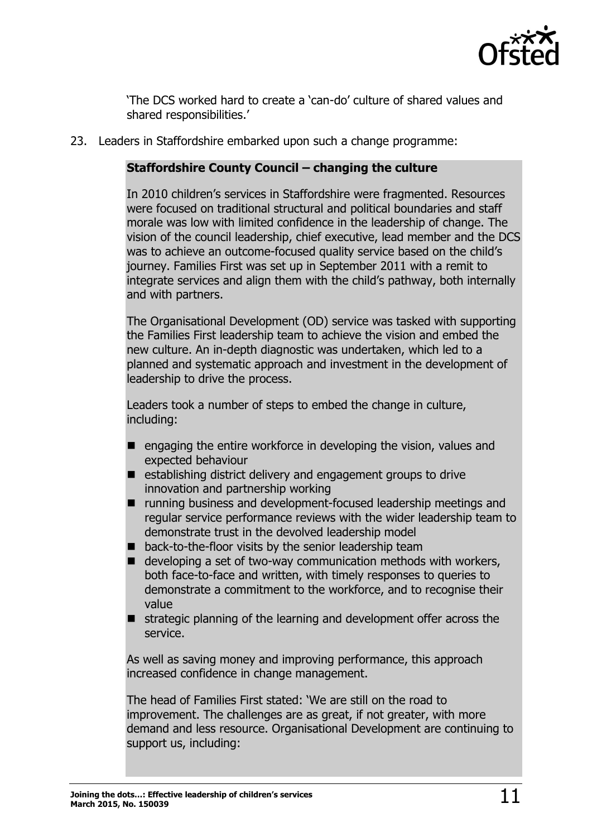

'The DCS worked hard to create a 'can-do' culture of shared values and shared responsibilities.'

23. Leaders in Staffordshire embarked upon such a change programme:

#### **Staffordshire County Council – changing the culture**

In 2010 children's services in Staffordshire were fragmented. Resources were focused on traditional structural and political boundaries and staff morale was low with limited confidence in the leadership of change. The vision of the council leadership, chief executive, lead member and the DCS was to achieve an outcome-focused quality service based on the child's journey. Families First was set up in September 2011 with a remit to integrate services and align them with the child's pathway, both internally and with partners.

The Organisational Development (OD) service was tasked with supporting the Families First leadership team to achieve the vision and embed the new culture. An in-depth diagnostic was undertaken, which led to a planned and systematic approach and investment in the development of leadership to drive the process.

Leaders took a number of steps to embed the change in culture, including:

- $\blacksquare$  engaging the entire workforce in developing the vision, values and expected behaviour
- $\blacksquare$  establishing district delivery and engagement groups to drive innovation and partnership working
- running business and development-focused leadership meetings and regular service performance reviews with the wider leadership team to demonstrate trust in the devolved leadership model
- back-to-the-floor visits by the senior leadership team
- developing a set of two-way communication methods with workers, both face-to-face and written, with timely responses to queries to demonstrate a commitment to the workforce, and to recognise their value
- **E** strategic planning of the learning and development offer across the service.

As well as saving money and improving performance, this approach increased confidence in change management.

The head of Families First stated: 'We are still on the road to improvement. The challenges are as great, if not greater, with more demand and less resource. Organisational Development are continuing to support us, including: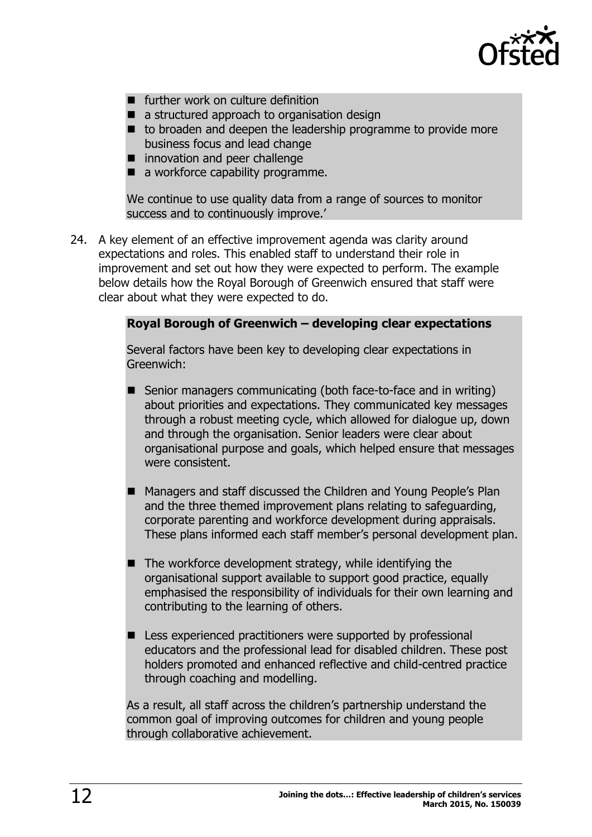

- $\blacksquare$  further work on culture definition
- a structured approach to organisation design
- $\blacksquare$  to broaden and deepen the leadership programme to provide more business focus and lead change
- innovation and peer challenge
- a workforce capability programme.

We continue to use quality data from a range of sources to monitor success and to continuously improve.'

24. A key element of an effective improvement agenda was clarity around expectations and roles. This enabled staff to understand their role in improvement and set out how they were expected to perform. The example below details how the Royal Borough of Greenwich ensured that staff were clear about what they were expected to do.

#### **Royal Borough of Greenwich – developing clear expectations**

Several factors have been key to developing clear expectations in Greenwich:

- Senior managers communicating (both face-to-face and in writing) about priorities and expectations. They communicated key messages through a robust meeting cycle, which allowed for dialogue up, down and through the organisation. Senior leaders were clear about organisational purpose and goals, which helped ensure that messages were consistent.
- Managers and staff discussed the Children and Young People's Plan and the three themed improvement plans relating to safeguarding, corporate parenting and workforce development during appraisals. These plans informed each staff member's personal development plan.
- $\blacksquare$  The workforce development strategy, while identifying the organisational support available to support good practice, equally emphasised the responsibility of individuals for their own learning and contributing to the learning of others.
- Less experienced practitioners were supported by professional educators and the professional lead for disabled children. These post holders promoted and enhanced reflective and child-centred practice through coaching and modelling.

As a result, all staff across the children's partnership understand the common goal of improving outcomes for children and young people through collaborative achievement.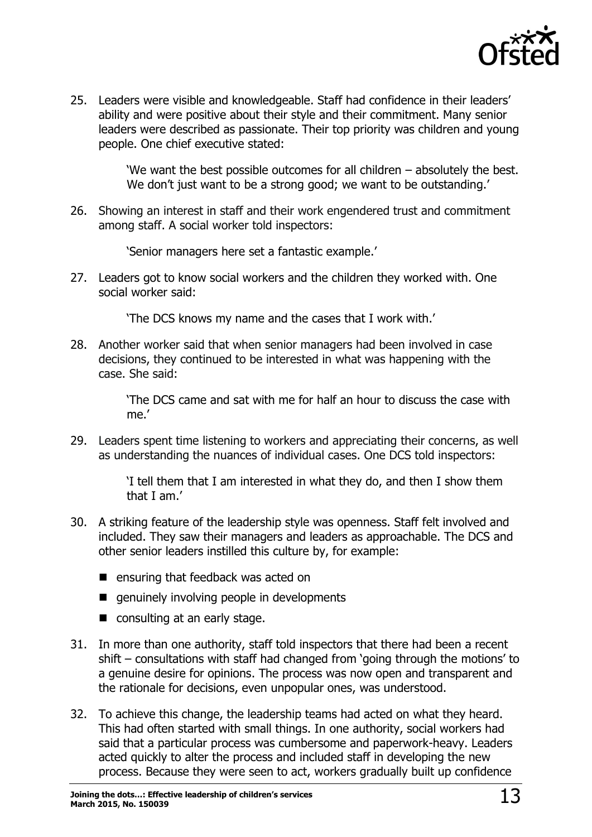

25. Leaders were visible and knowledgeable. Staff had confidence in their leaders' ability and were positive about their style and their commitment. Many senior leaders were described as passionate. Their top priority was children and young people. One chief executive stated:

> 'We want the best possible outcomes for all children – absolutely the best. We don't just want to be a strong good; we want to be outstanding.'

26. Showing an interest in staff and their work engendered trust and commitment among staff. A social worker told inspectors:

'Senior managers here set a fantastic example.'

27. Leaders got to know social workers and the children they worked with. One social worker said:

'The DCS knows my name and the cases that I work with.'

28. Another worker said that when senior managers had been involved in case decisions, they continued to be interested in what was happening with the case. She said:

> 'The DCS came and sat with me for half an hour to discuss the case with me.'

29. Leaders spent time listening to workers and appreciating their concerns, as well as understanding the nuances of individual cases. One DCS told inspectors:

> 'I tell them that I am interested in what they do, and then I show them that I am.'

- 30. A striking feature of the leadership style was openness. Staff felt involved and included. They saw their managers and leaders as approachable. The DCS and other senior leaders instilled this culture by, for example:
	- ensuring that feedback was acted on
	- **E** genuinely involving people in developments
	- consulting at an early stage.
- 31. In more than one authority, staff told inspectors that there had been a recent shift – consultations with staff had changed from 'going through the motions' to a genuine desire for opinions. The process was now open and transparent and the rationale for decisions, even unpopular ones, was understood.
- 32. To achieve this change, the leadership teams had acted on what they heard. This had often started with small things. In one authority, social workers had said that a particular process was cumbersome and paperwork-heavy. Leaders acted quickly to alter the process and included staff in developing the new process. Because they were seen to act, workers gradually built up confidence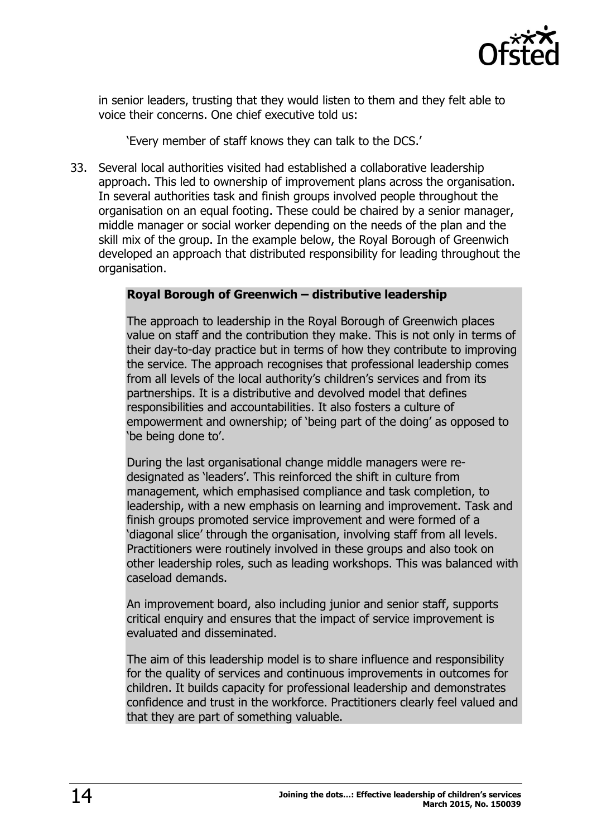

in senior leaders, trusting that they would listen to them and they felt able to voice their concerns. One chief executive told us:

'Every member of staff knows they can talk to the DCS.'

33. Several local authorities visited had established a collaborative leadership approach. This led to ownership of improvement plans across the organisation. In several authorities task and finish groups involved people throughout the organisation on an equal footing. These could be chaired by a senior manager, middle manager or social worker depending on the needs of the plan and the skill mix of the group. In the example below, the Royal Borough of Greenwich developed an approach that distributed responsibility for leading throughout the organisation.

#### **Royal Borough of Greenwich – distributive leadership**

The approach to leadership in the Royal Borough of Greenwich places value on staff and the contribution they make. This is not only in terms of their day-to-day practice but in terms of how they contribute to improving the service. The approach recognises that professional leadership comes from all levels of the local authority's children's services and from its partnerships. It is a distributive and devolved model that defines responsibilities and accountabilities. It also fosters a culture of empowerment and ownership; of 'being part of the doing' as opposed to 'be being done to'.

During the last organisational change middle managers were redesignated as 'leaders'. This reinforced the shift in culture from management, which emphasised compliance and task completion, to leadership, with a new emphasis on learning and improvement. Task and finish groups promoted service improvement and were formed of a 'diagonal slice' through the organisation, involving staff from all levels. Practitioners were routinely involved in these groups and also took on other leadership roles, such as leading workshops. This was balanced with caseload demands.

An improvement board, also including junior and senior staff, supports critical enquiry and ensures that the impact of service improvement is evaluated and disseminated.

The aim of this leadership model is to share influence and responsibility for the quality of services and continuous improvements in outcomes for children. It builds capacity for professional leadership and demonstrates confidence and trust in the workforce. Practitioners clearly feel valued and that they are part of something valuable.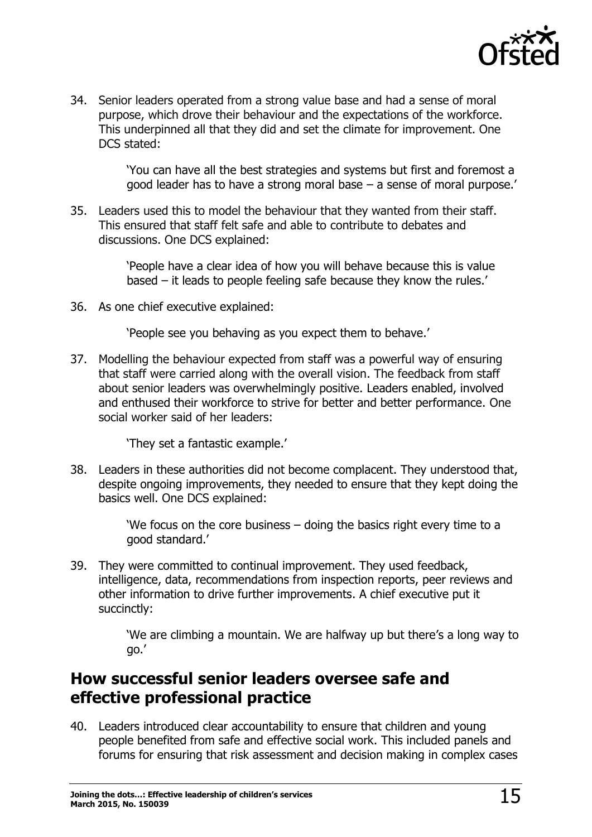

34. Senior leaders operated from a strong value base and had a sense of moral purpose, which drove their behaviour and the expectations of the workforce. This underpinned all that they did and set the climate for improvement. One DCS stated:

> 'You can have all the best strategies and systems but first and foremost a good leader has to have a strong moral base – a sense of moral purpose.'

35. Leaders used this to model the behaviour that they wanted from their staff. This ensured that staff felt safe and able to contribute to debates and discussions. One DCS explained:

> 'People have a clear idea of how you will behave because this is value based – it leads to people feeling safe because they know the rules.'

36. As one chief executive explained:

'People see you behaving as you expect them to behave.'

37. Modelling the behaviour expected from staff was a powerful way of ensuring that staff were carried along with the overall vision. The feedback from staff about senior leaders was overwhelmingly positive. Leaders enabled, involved and enthused their workforce to strive for better and better performance. One social worker said of her leaders:

'They set a fantastic example.'

38. Leaders in these authorities did not become complacent. They understood that, despite ongoing improvements, they needed to ensure that they kept doing the basics well. One DCS explained:

> 'We focus on the core business – doing the basics right every time to a good standard.'

39. They were committed to continual improvement. They used feedback, intelligence, data, recommendations from inspection reports, peer reviews and other information to drive further improvements. A chief executive put it succinctly:

> 'We are climbing a mountain. We are halfway up but there's a long way to go.'

# <span id="page-14-0"></span>**How successful senior leaders oversee safe and effective professional practice**

40. Leaders introduced clear accountability to ensure that children and young people benefited from safe and effective social work. This included panels and forums for ensuring that risk assessment and decision making in complex cases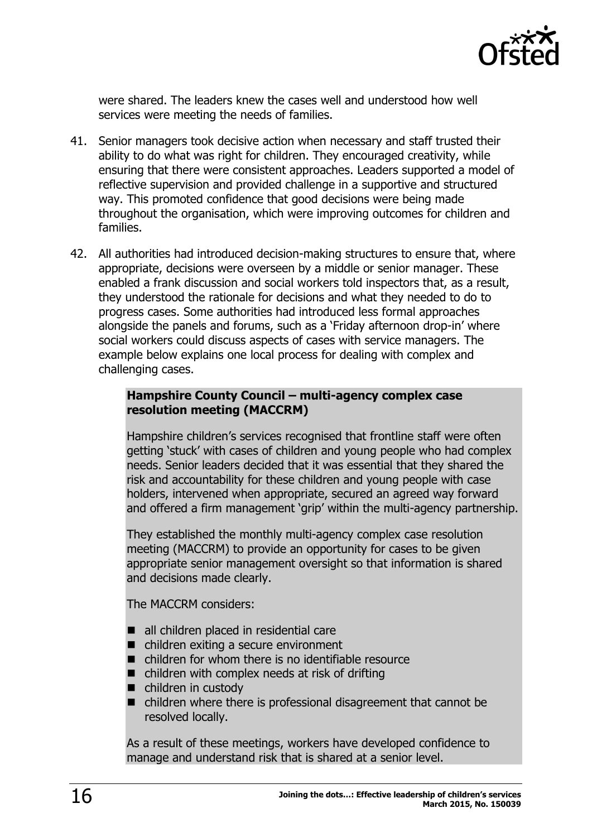

were shared. The leaders knew the cases well and understood how well services were meeting the needs of families.

- 41. Senior managers took decisive action when necessary and staff trusted their ability to do what was right for children. They encouraged creativity, while ensuring that there were consistent approaches. Leaders supported a model of reflective supervision and provided challenge in a supportive and structured way. This promoted confidence that good decisions were being made throughout the organisation, which were improving outcomes for children and families.
- 42. All authorities had introduced decision-making structures to ensure that, where appropriate, decisions were overseen by a middle or senior manager. These enabled a frank discussion and social workers told inspectors that, as a result, they understood the rationale for decisions and what they needed to do to progress cases. Some authorities had introduced less formal approaches alongside the panels and forums, such as a 'Friday afternoon drop-in' where social workers could discuss aspects of cases with service managers. The example below explains one local process for dealing with complex and challenging cases.

#### **Hampshire County Council – multi-agency complex case resolution meeting (MACCRM)**

Hampshire children's services recognised that frontline staff were often getting 'stuck' with cases of children and young people who had complex needs. Senior leaders decided that it was essential that they shared the risk and accountability for these children and young people with case holders, intervened when appropriate, secured an agreed way forward and offered a firm management 'grip' within the multi-agency partnership.

They established the monthly multi-agency complex case resolution meeting (MACCRM) to provide an opportunity for cases to be given appropriate senior management oversight so that information is shared and decisions made clearly.

The MACCRM considers:

- all children placed in residential care
- children exiting a secure environment
- $\blacksquare$  children for whom there is no identifiable resource
- $\blacksquare$  children with complex needs at risk of drifting
- children in custody
- children where there is professional disagreement that cannot be resolved locally.

As a result of these meetings, workers have developed confidence to manage and understand risk that is shared at a senior level.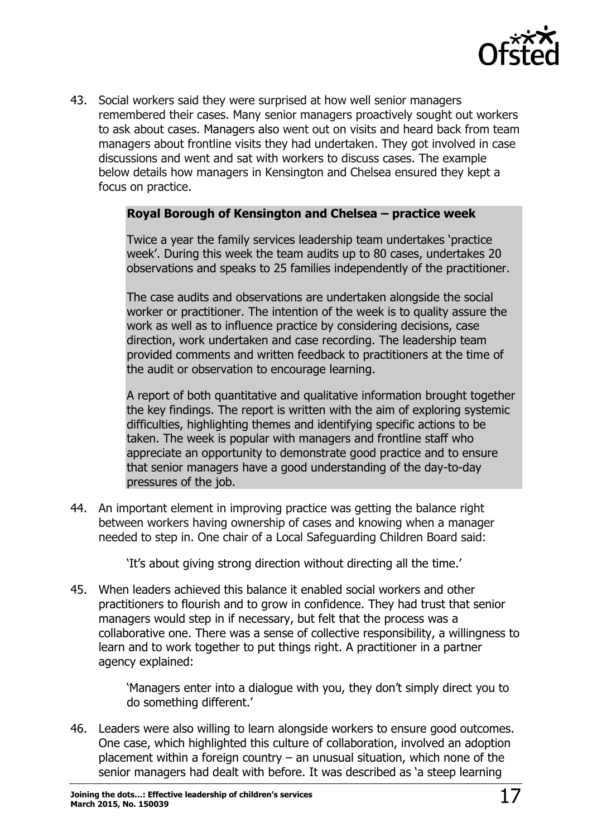

43. Social workers said they were surprised at how well senior managers remembered their cases. Many senior managers proactively sought out workers to ask about cases. Managers also went out on visits and heard back from team managers about frontline visits they had undertaken. They got involved in case discussions and went and sat with workers to discuss cases. The example below details how managers in Kensington and Chelsea ensured they kept a focus on practice.

#### **Royal Borough of Kensington and Chelsea – practice week**

Twice a year the family services leadership team undertakes 'practice week'. During this week the team audits up to 80 cases, undertakes 20 observations and speaks to 25 families independently of the practitioner.

The case audits and observations are undertaken alongside the social worker or practitioner. The intention of the week is to quality assure the work as well as to influence practice by considering decisions, case direction, work undertaken and case recording. The leadership team provided comments and written feedback to practitioners at the time of the audit or observation to encourage learning.

A report of both quantitative and qualitative information brought together the key findings. The report is written with the aim of exploring systemic difficulties, highlighting themes and identifying specific actions to be taken. The week is popular with managers and frontline staff who appreciate an opportunity to demonstrate good practice and to ensure that senior managers have a good understanding of the day-to-day pressures of the job.

44. An important element in improving practice was getting the balance right between workers having ownership of cases and knowing when a manager needed to step in. One chair of a Local Safeguarding Children Board said:

'It's about giving strong direction without directing all the time.'

45. When leaders achieved this balance it enabled social workers and other practitioners to flourish and to grow in confidence. They had trust that senior managers would step in if necessary, but felt that the process was a collaborative one. There was a sense of collective responsibility, a willingness to learn and to work together to put things right. A practitioner in a partner agency explained:

> 'Managers enter into a dialogue with you, they don't simply direct you to do something different.'

46. Leaders were also willing to learn alongside workers to ensure good outcomes. One case, which highlighted this culture of collaboration, involved an adoption placement within a foreign country  $-$  an unusual situation, which none of the senior managers had dealt with before. It was described as 'a steep learning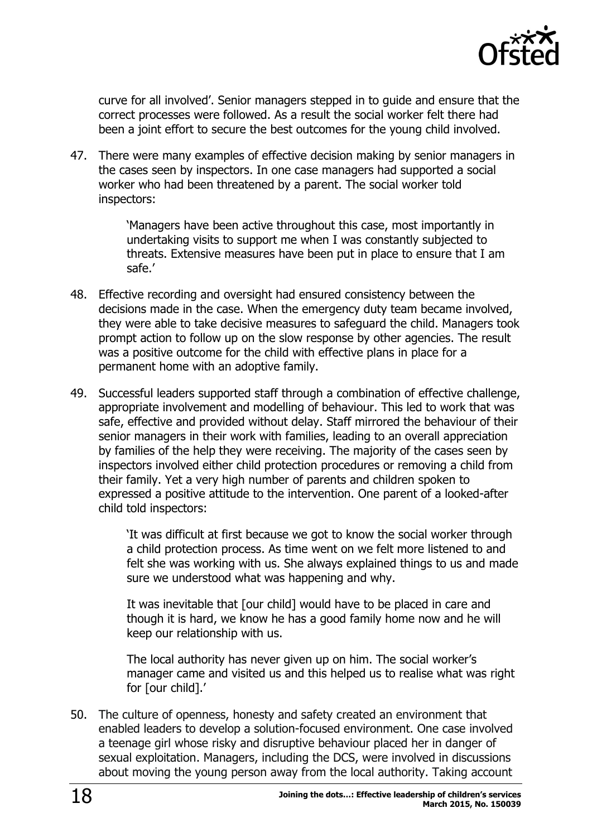

curve for all involved'. Senior managers stepped in to guide and ensure that the correct processes were followed. As a result the social worker felt there had been a joint effort to secure the best outcomes for the young child involved.

47. There were many examples of effective decision making by senior managers in the cases seen by inspectors. In one case managers had supported a social worker who had been threatened by a parent. The social worker told inspectors:

> 'Managers have been active throughout this case, most importantly in undertaking visits to support me when I was constantly subjected to threats. Extensive measures have been put in place to ensure that I am safe.'

- 48. Effective recording and oversight had ensured consistency between the decisions made in the case. When the emergency duty team became involved, they were able to take decisive measures to safeguard the child. Managers took prompt action to follow up on the slow response by other agencies. The result was a positive outcome for the child with effective plans in place for a permanent home with an adoptive family.
- 49. Successful leaders supported staff through a combination of effective challenge, appropriate involvement and modelling of behaviour. This led to work that was safe, effective and provided without delay. Staff mirrored the behaviour of their senior managers in their work with families, leading to an overall appreciation by families of the help they were receiving. The majority of the cases seen by inspectors involved either child protection procedures or removing a child from their family. Yet a very high number of parents and children spoken to expressed a positive attitude to the intervention. One parent of a looked-after child told inspectors:

'It was difficult at first because we got to know the social worker through a child protection process. As time went on we felt more listened to and felt she was working with us. She always explained things to us and made sure we understood what was happening and why.

It was inevitable that [our child] would have to be placed in care and though it is hard, we know he has a good family home now and he will keep our relationship with us.

The local authority has never given up on him. The social worker's manager came and visited us and this helped us to realise what was right for [our child].'

50. The culture of openness, honesty and safety created an environment that enabled leaders to develop a solution-focused environment. One case involved a teenage girl whose risky and disruptive behaviour placed her in danger of sexual exploitation. Managers, including the DCS, were involved in discussions about moving the young person away from the local authority. Taking account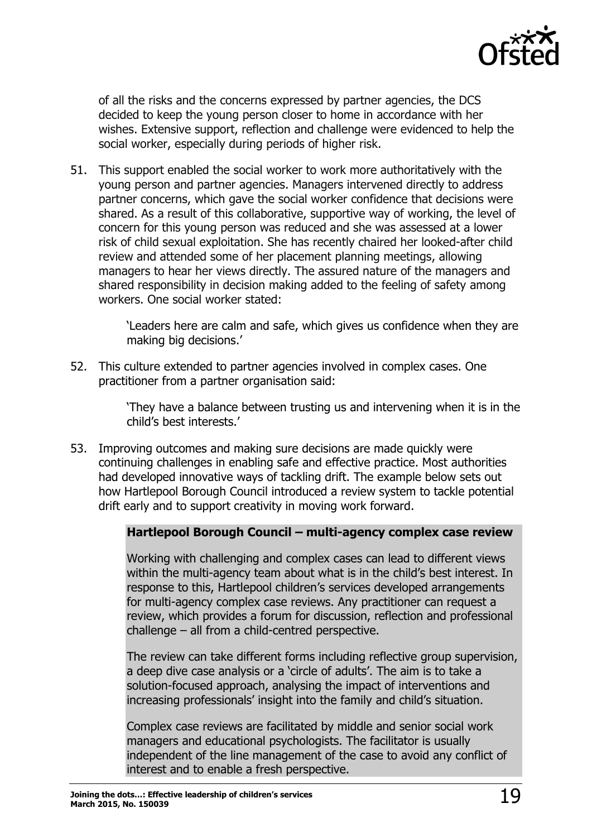

of all the risks and the concerns expressed by partner agencies, the DCS decided to keep the young person closer to home in accordance with her wishes. Extensive support, reflection and challenge were evidenced to help the social worker, especially during periods of higher risk.

51. This support enabled the social worker to work more authoritatively with the young person and partner agencies. Managers intervened directly to address partner concerns, which gave the social worker confidence that decisions were shared. As a result of this collaborative, supportive way of working, the level of concern for this young person was reduced and she was assessed at a lower risk of child sexual exploitation. She has recently chaired her looked-after child review and attended some of her placement planning meetings, allowing managers to hear her views directly. The assured nature of the managers and shared responsibility in decision making added to the feeling of safety among workers. One social worker stated:

> 'Leaders here are calm and safe, which gives us confidence when they are making big decisions.'

52. This culture extended to partner agencies involved in complex cases. One practitioner from a partner organisation said:

> 'They have a balance between trusting us and intervening when it is in the child's best interests.'

53. Improving outcomes and making sure decisions are made quickly were continuing challenges in enabling safe and effective practice. Most authorities had developed innovative ways of tackling drift. The example below sets out how Hartlepool Borough Council introduced a review system to tackle potential drift early and to support creativity in moving work forward.

#### **Hartlepool Borough Council – multi-agency complex case review**

Working with challenging and complex cases can lead to different views within the multi-agency team about what is in the child's best interest. In response to this, Hartlepool children's services developed arrangements for multi-agency complex case reviews. Any practitioner can request a review, which provides a forum for discussion, reflection and professional challenge – all from a child-centred perspective.

The review can take different forms including reflective group supervision, a deep dive case analysis or a 'circle of adults'. The aim is to take a solution-focused approach, analysing the impact of interventions and increasing professionals' insight into the family and child's situation.

Complex case reviews are facilitated by middle and senior social work managers and educational psychologists. The facilitator is usually independent of the line management of the case to avoid any conflict of interest and to enable a fresh perspective.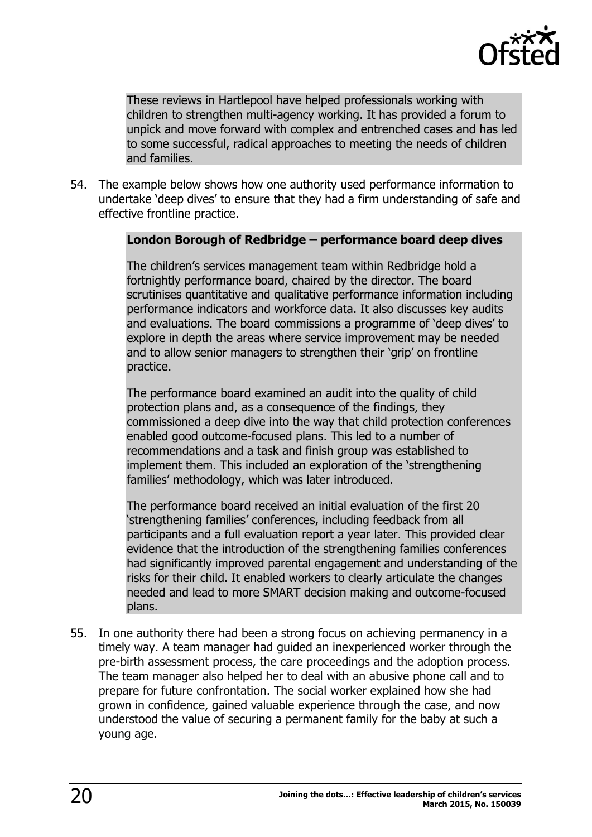

These reviews in Hartlepool have helped professionals working with children to strengthen multi-agency working. It has provided a forum to unpick and move forward with complex and entrenched cases and has led to some successful, radical approaches to meeting the needs of children and families.

54. The example below shows how one authority used performance information to undertake 'deep dives' to ensure that they had a firm understanding of safe and effective frontline practice.

#### **London Borough of Redbridge – performance board deep dives**

The children's services management team within Redbridge hold a fortnightly performance board, chaired by the director. The board scrutinises quantitative and qualitative performance information including performance indicators and workforce data. It also discusses key audits and evaluations. The board commissions a programme of 'deep dives' to explore in depth the areas where service improvement may be needed and to allow senior managers to strengthen their 'grip' on frontline practice.

The performance board examined an audit into the quality of child protection plans and, as a consequence of the findings, they commissioned a deep dive into the way that child protection conferences enabled good outcome-focused plans. This led to a number of recommendations and a task and finish group was established to implement them. This included an exploration of the 'strengthening families' methodology, which was later introduced.

The performance board received an initial evaluation of the first 20 'strengthening families' conferences, including feedback from all participants and a full evaluation report a year later. This provided clear evidence that the introduction of the strengthening families conferences had significantly improved parental engagement and understanding of the risks for their child. It enabled workers to clearly articulate the changes needed and lead to more SMART decision making and outcome-focused plans.

55. In one authority there had been a strong focus on achieving permanency in a timely way. A team manager had guided an inexperienced worker through the pre-birth assessment process, the care proceedings and the adoption process. The team manager also helped her to deal with an abusive phone call and to prepare for future confrontation. The social worker explained how she had grown in confidence, gained valuable experience through the case, and now understood the value of securing a permanent family for the baby at such a young age.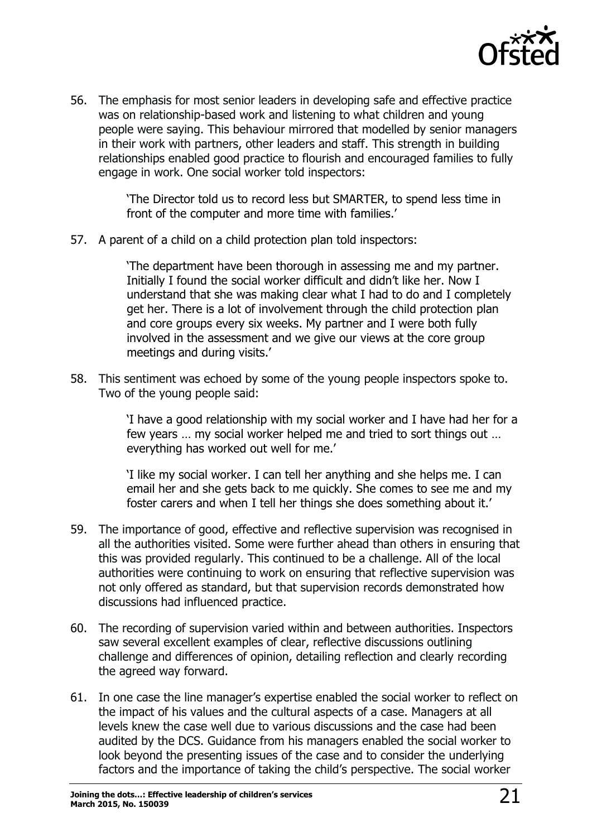

56. The emphasis for most senior leaders in developing safe and effective practice was on relationship-based work and listening to what children and young people were saying. This behaviour mirrored that modelled by senior managers in their work with partners, other leaders and staff. This strength in building relationships enabled good practice to flourish and encouraged families to fully engage in work. One social worker told inspectors:

> 'The Director told us to record less but SMARTER, to spend less time in front of the computer and more time with families.'

57. A parent of a child on a child protection plan told inspectors:

'The department have been thorough in assessing me and my partner. Initially I found the social worker difficult and didn't like her. Now I understand that she was making clear what I had to do and I completely get her. There is a lot of involvement through the child protection plan and core groups every six weeks. My partner and I were both fully involved in the assessment and we give our views at the core group meetings and during visits.'

58. This sentiment was echoed by some of the young people inspectors spoke to. Two of the young people said:

> 'I have a good relationship with my social worker and I have had her for a few years … my social worker helped me and tried to sort things out … everything has worked out well for me.'

'I like my social worker. I can tell her anything and she helps me. I can email her and she gets back to me quickly. She comes to see me and my foster carers and when I tell her things she does something about it.'

- 59. The importance of good, effective and reflective supervision was recognised in all the authorities visited. Some were further ahead than others in ensuring that this was provided regularly. This continued to be a challenge. All of the local authorities were continuing to work on ensuring that reflective supervision was not only offered as standard, but that supervision records demonstrated how discussions had influenced practice.
- 60. The recording of supervision varied within and between authorities. Inspectors saw several excellent examples of clear, reflective discussions outlining challenge and differences of opinion, detailing reflection and clearly recording the agreed way forward.
- 61. In one case the line manager's expertise enabled the social worker to reflect on the impact of his values and the cultural aspects of a case. Managers at all levels knew the case well due to various discussions and the case had been audited by the DCS. Guidance from his managers enabled the social worker to look beyond the presenting issues of the case and to consider the underlying factors and the importance of taking the child's perspective. The social worker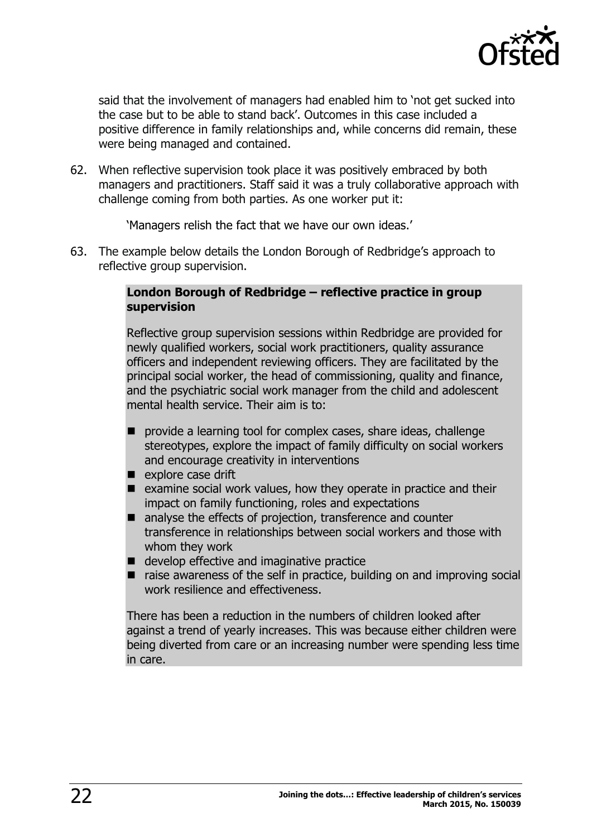

said that the involvement of managers had enabled him to 'not get sucked into the case but to be able to stand back'. Outcomes in this case included a positive difference in family relationships and, while concerns did remain, these were being managed and contained.

62. When reflective supervision took place it was positively embraced by both managers and practitioners. Staff said it was a truly collaborative approach with challenge coming from both parties. As one worker put it:

'Managers relish the fact that we have our own ideas.'

63. The example below details the London Borough of Redbridge's approach to reflective group supervision.

#### **London Borough of Redbridge – reflective practice in group supervision**

Reflective group supervision sessions within Redbridge are provided for newly qualified workers, social work practitioners, quality assurance officers and independent reviewing officers. They are facilitated by the principal social worker, the head of commissioning, quality and finance, and the psychiatric social work manager from the child and adolescent mental health service. Their aim is to:

- $\blacksquare$  provide a learning tool for complex cases, share ideas, challenge stereotypes, explore the impact of family difficulty on social workers and encourage creativity in interventions
- $\blacksquare$  explore case drift
- $\blacksquare$  examine social work values, how they operate in practice and their impact on family functioning, roles and expectations
- analyse the effects of projection, transference and counter transference in relationships between social workers and those with whom they work
- develop effective and imaginative practice
- raise awareness of the self in practice, building on and improving social work resilience and effectiveness.

<span id="page-21-0"></span>There has been a reduction in the numbers of children looked after against a trend of yearly increases. This was because either children were being diverted from care or an increasing number were spending less time in care.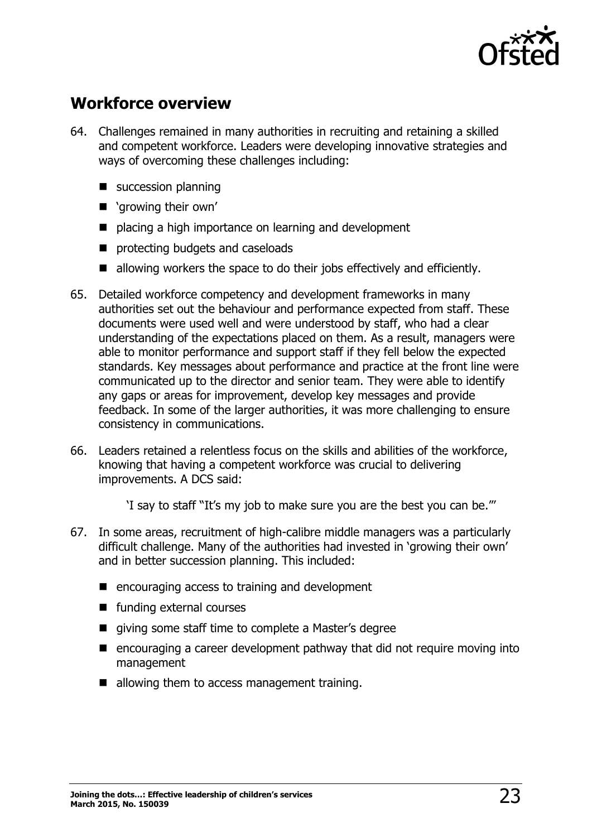

## **Workforce overview**

- 64. Challenges remained in many authorities in recruiting and retaining a skilled and competent workforce. Leaders were developing innovative strategies and ways of overcoming these challenges including:
	- succession planning
	- **T** 'growing their own'
	- placing a high importance on learning and development
	- **n** protecting budgets and caseloads
	- $\blacksquare$  allowing workers the space to do their jobs effectively and efficiently.
- 65. Detailed workforce competency and development frameworks in many authorities set out the behaviour and performance expected from staff. These documents were used well and were understood by staff, who had a clear understanding of the expectations placed on them. As a result, managers were able to monitor performance and support staff if they fell below the expected standards. Key messages about performance and practice at the front line were communicated up to the director and senior team. They were able to identify any gaps or areas for improvement, develop key messages and provide feedback. In some of the larger authorities, it was more challenging to ensure consistency in communications.
- 66. Leaders retained a relentless focus on the skills and abilities of the workforce, knowing that having a competent workforce was crucial to delivering improvements. A DCS said:

'I say to staff "It's my job to make sure you are the best you can be."'

- 67. In some areas, recruitment of high-calibre middle managers was a particularly difficult challenge. Many of the authorities had invested in 'growing their own' and in better succession planning. This included:
	- encouraging access to training and development
	- funding external courses
	- qiving some staff time to complete a Master's degree
	- $\blacksquare$  encouraging a career development pathway that did not require moving into management
	- allowing them to access management training.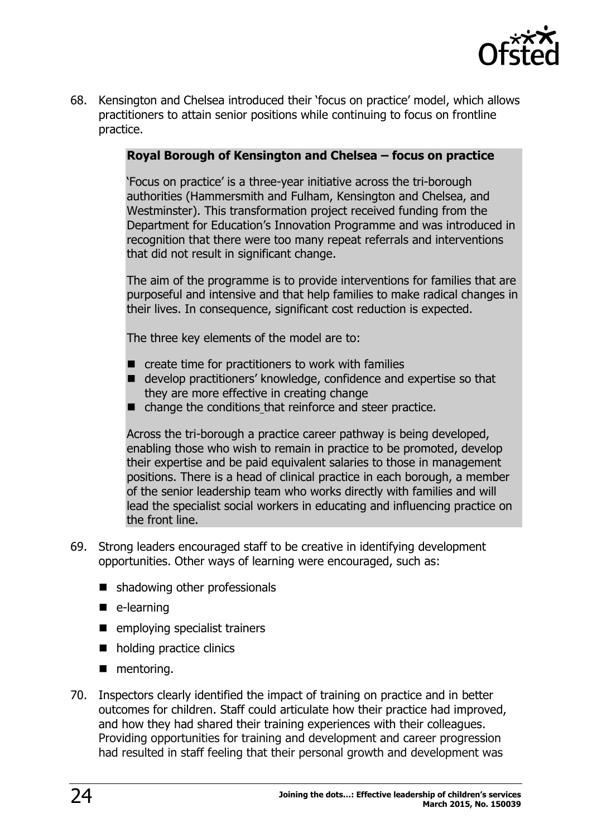

68. Kensington and Chelsea introduced their 'focus on practice' model, which allows practitioners to attain senior positions while continuing to focus on frontline practice.

#### **Royal Borough of Kensington and Chelsea – focus on practice**

'Focus on practice' is a three-year initiative across the tri-borough authorities (Hammersmith and Fulham, Kensington and Chelsea, and Westminster). This transformation project received funding from the Department for Education's Innovation Programme and was introduced in recognition that there were too many repeat referrals and interventions that did not result in significant change.

The aim of the programme is to provide interventions for families that are purposeful and intensive and that help families to make radical changes in their lives. In consequence, significant cost reduction is expected.

The three key elements of the model are to:

- $\blacksquare$  create time for practitioners to work with families
- develop practitioners' knowledge, confidence and expertise so that they are more effective in creating change
- change the conditions that reinforce and steer practice.

Across the tri-borough a practice career pathway is being developed, enabling those who wish to remain in practice to be promoted, develop their expertise and be paid equivalent salaries to those in management positions. There is a head of clinical practice in each borough, a member of the senior leadership team who works directly with families and will lead the specialist social workers in educating and influencing practice on the front line.

- 69. Strong leaders encouraged staff to be creative in identifying development opportunities. Other ways of learning were encouraged, such as:
	- shadowing other professionals
	- e-learning
	- $\blacksquare$  emploving specialist trainers
	- holding practice clinics
	- **nd** mentoring.
- 70. Inspectors clearly identified the impact of training on practice and in better outcomes for children. Staff could articulate how their practice had improved, and how they had shared their training experiences with their colleagues. Providing opportunities for training and development and career progression had resulted in staff feeling that their personal growth and development was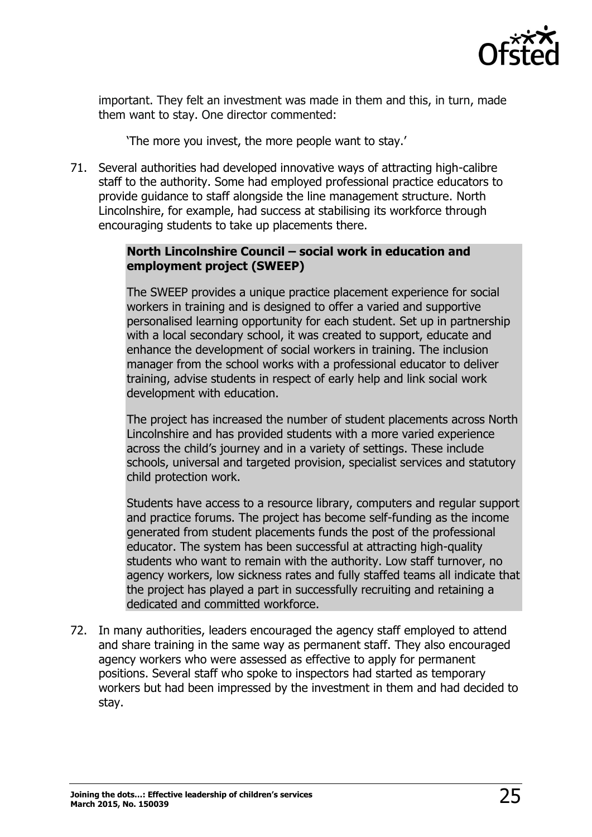

important. They felt an investment was made in them and this, in turn, made them want to stay. One director commented:

'The more you invest, the more people want to stay.'

71. Several authorities had developed innovative ways of attracting high-calibre staff to the authority. Some had employed professional practice educators to provide guidance to staff alongside the line management structure. North Lincolnshire, for example, had success at stabilising its workforce through encouraging students to take up placements there.

#### **North Lincolnshire Council – social work in education and employment project (SWEEP)**

The SWEEP provides a unique practice placement experience for social workers in training and is designed to offer a varied and supportive personalised learning opportunity for each student. Set up in partnership with a local secondary school, it was created to support, educate and enhance the development of social workers in training. The inclusion manager from the school works with a professional educator to deliver training, advise students in respect of early help and link social work development with education.

The project has increased the number of student placements across North Lincolnshire and has provided students with a more varied experience across the child's journey and in a variety of settings. These include schools, universal and targeted provision, specialist services and statutory child protection work.

Students have access to a resource library, computers and regular support and practice forums. The project has become self-funding as the income generated from student placements funds the post of the professional educator. The system has been successful at attracting high-quality students who want to remain with the authority. Low staff turnover, no agency workers, low sickness rates and fully staffed teams all indicate that the project has played a part in successfully recruiting and retaining a dedicated and committed workforce.

72. In many authorities, leaders encouraged the agency staff employed to attend and share training in the same way as permanent staff. They also encouraged agency workers who were assessed as effective to apply for permanent positions. Several staff who spoke to inspectors had started as temporary workers but had been impressed by the investment in them and had decided to stay.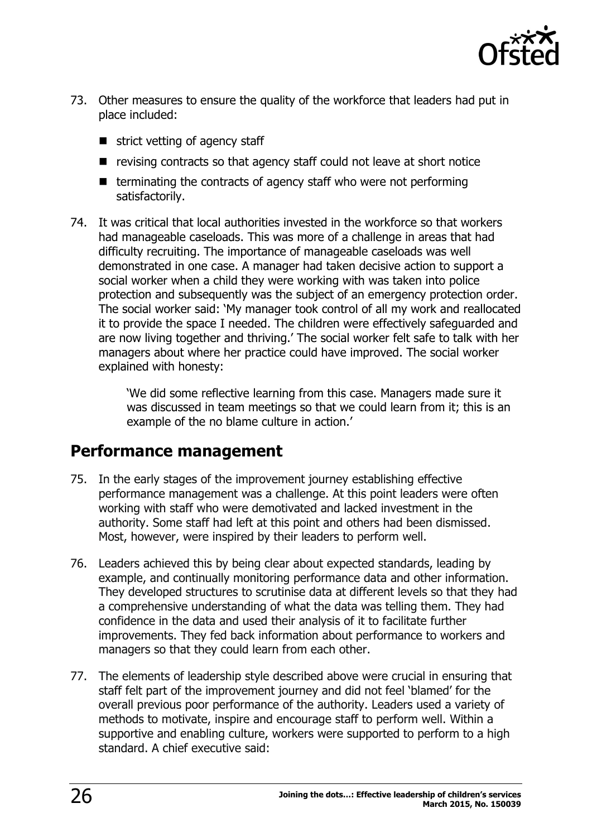

- 73. Other measures to ensure the quality of the workforce that leaders had put in place included:
	- $\blacksquare$  strict vetting of agency staff
	- $\blacksquare$  revising contracts so that agency staff could not leave at short notice
	- $\blacksquare$  terminating the contracts of agency staff who were not performing satisfactorily.
- 74. It was critical that local authorities invested in the workforce so that workers had manageable caseloads. This was more of a challenge in areas that had difficulty recruiting. The importance of manageable caseloads was well demonstrated in one case. A manager had taken decisive action to support a social worker when a child they were working with was taken into police protection and subsequently was the subject of an emergency protection order. The social worker said: 'My manager took control of all my work and reallocated it to provide the space I needed. The children were effectively safeguarded and are now living together and thriving.' The social worker felt safe to talk with her managers about where her practice could have improved. The social worker explained with honesty:

'We did some reflective learning from this case. Managers made sure it was discussed in team meetings so that we could learn from it; this is an example of the no blame culture in action.'

### <span id="page-25-0"></span>**Performance management**

- 75. In the early stages of the improvement journey establishing effective performance management was a challenge. At this point leaders were often working with staff who were demotivated and lacked investment in the authority. Some staff had left at this point and others had been dismissed. Most, however, were inspired by their leaders to perform well.
- 76. Leaders achieved this by being clear about expected standards, leading by example, and continually monitoring performance data and other information. They developed structures to scrutinise data at different levels so that they had a comprehensive understanding of what the data was telling them. They had confidence in the data and used their analysis of it to facilitate further improvements. They fed back information about performance to workers and managers so that they could learn from each other.
- 77. The elements of leadership style described above were crucial in ensuring that staff felt part of the improvement journey and did not feel 'blamed' for the overall previous poor performance of the authority. Leaders used a variety of methods to motivate, inspire and encourage staff to perform well. Within a supportive and enabling culture, workers were supported to perform to a high standard. A chief executive said: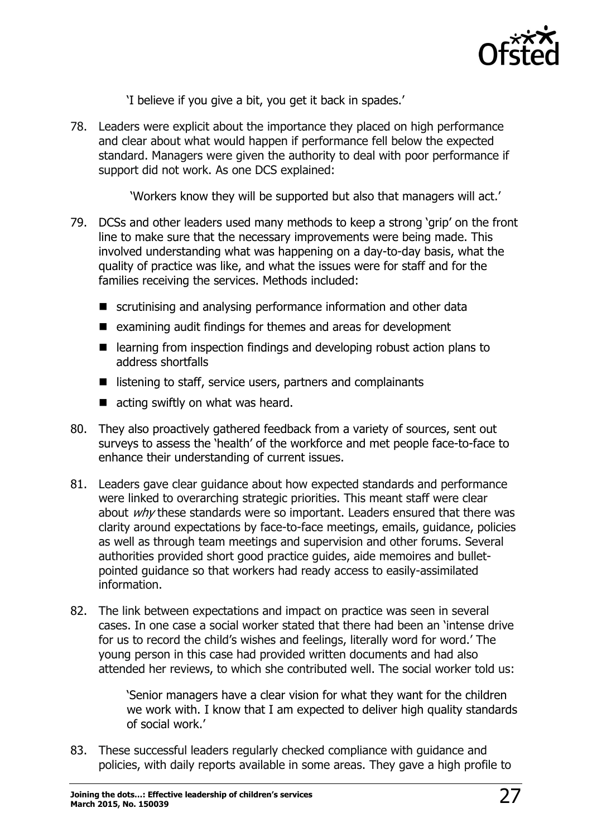

'I believe if you give a bit, you get it back in spades.'

78. Leaders were explicit about the importance they placed on high performance and clear about what would happen if performance fell below the expected standard. Managers were given the authority to deal with poor performance if support did not work. As one DCS explained:

'Workers know they will be supported but also that managers will act.'

- 79. DCSs and other leaders used many methods to keep a strong 'grip' on the front line to make sure that the necessary improvements were being made. This involved understanding what was happening on a day-to-day basis, what the quality of practice was like, and what the issues were for staff and for the families receiving the services. Methods included:
	- scrutinising and analysing performance information and other data
	- $\blacksquare$  examining audit findings for themes and areas for development
	- $\blacksquare$  learning from inspection findings and developing robust action plans to address shortfalls
	- listening to staff, service users, partners and complainants
	- $\blacksquare$  acting swiftly on what was heard.
- 80. They also proactively gathered feedback from a variety of sources, sent out surveys to assess the 'health' of the workforce and met people face-to-face to enhance their understanding of current issues.
- 81. Leaders gave clear guidance about how expected standards and performance were linked to overarching strategic priorities. This meant staff were clear about  $why$  these standards were so important. Leaders ensured that there was clarity around expectations by face-to-face meetings, emails, guidance, policies as well as through team meetings and supervision and other forums. Several authorities provided short good practice guides, aide memoires and bulletpointed guidance so that workers had ready access to easily-assimilated information.
- 82. The link between expectations and impact on practice was seen in several cases. In one case a social worker stated that there had been an 'intense drive for us to record the child's wishes and feelings, literally word for word.' The young person in this case had provided written documents and had also attended her reviews, to which she contributed well. The social worker told us:

'Senior managers have a clear vision for what they want for the children we work with. I know that I am expected to deliver high quality standards of social work.'

83. These successful leaders regularly checked compliance with guidance and policies, with daily reports available in some areas. They gave a high profile to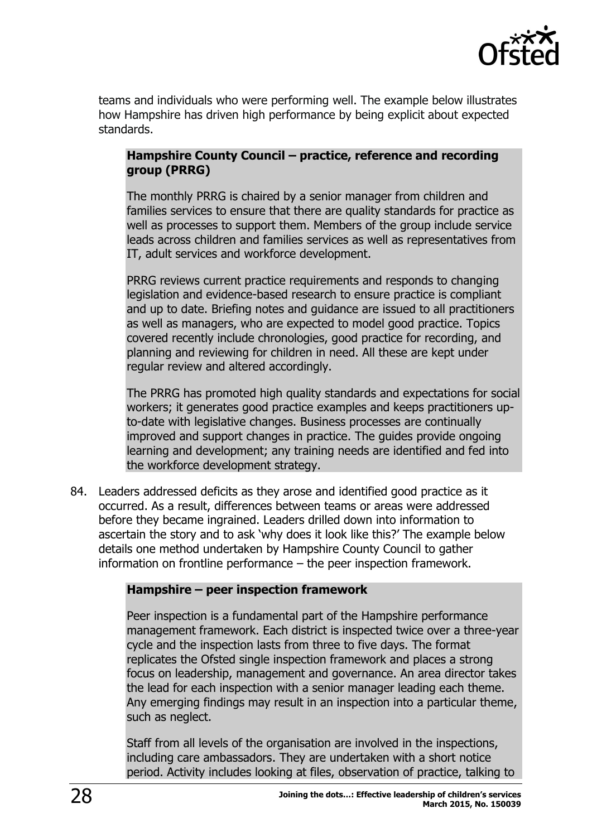

teams and individuals who were performing well. The example below illustrates how Hampshire has driven high performance by being explicit about expected standards.

#### **Hampshire County Council – practice, reference and recording group (PRRG)**

The monthly PRRG is chaired by a senior manager from children and families services to ensure that there are quality standards for practice as well as processes to support them. Members of the group include service leads across children and families services as well as representatives from IT, adult services and workforce development.

PRRG reviews current practice requirements and responds to changing legislation and evidence-based research to ensure practice is compliant and up to date. Briefing notes and guidance are issued to all practitioners as well as managers, who are expected to model good practice. Topics covered recently include chronologies, good practice for recording, and planning and reviewing for children in need. All these are kept under regular review and altered accordingly.

The PRRG has promoted high quality standards and expectations for social workers; it generates good practice examples and keeps practitioners upto-date with legislative changes. Business processes are continually improved and support changes in practice. The guides provide ongoing learning and development; any training needs are identified and fed into the workforce development strategy.

84. Leaders addressed deficits as they arose and identified good practice as it occurred. As a result, differences between teams or areas were addressed before they became ingrained. Leaders drilled down into information to ascertain the story and to ask 'why does it look like this?' The example below details one method undertaken by Hampshire County Council to gather information on frontline performance – the peer inspection framework.

#### **Hampshire – peer inspection framework**

Peer inspection is a fundamental part of the Hampshire performance management framework. Each district is inspected twice over a three-year cycle and the inspection lasts from three to five days. The format replicates the Ofsted single inspection framework and places a strong focus on leadership, management and governance. An area director takes the lead for each inspection with a senior manager leading each theme. Any emerging findings may result in an inspection into a particular theme, such as neglect.

Staff from all levels of the organisation are involved in the inspections, including care ambassadors. They are undertaken with a short notice period. Activity includes looking at files, observation of practice, talking to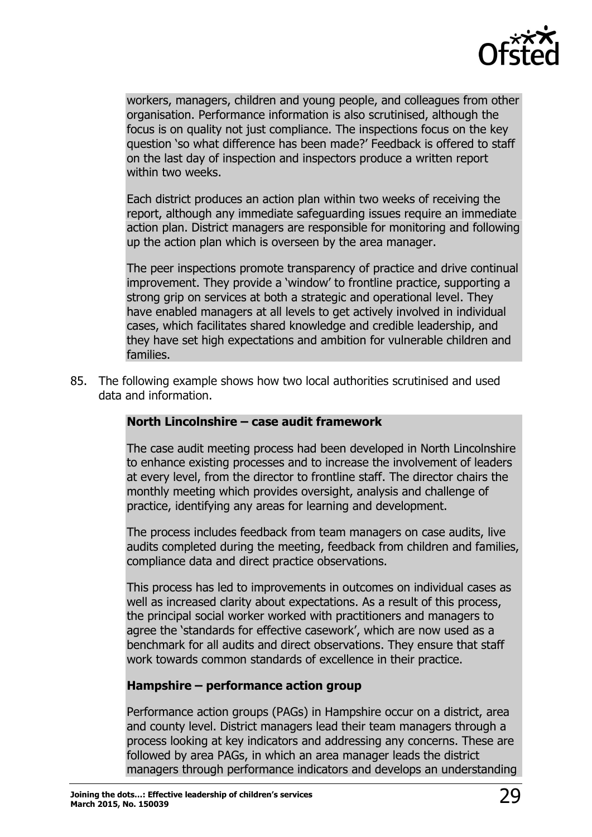

workers, managers, children and young people, and colleagues from other organisation. Performance information is also scrutinised, although the focus is on quality not just compliance. The inspections focus on the key question 'so what difference has been made?' Feedback is offered to staff on the last day of inspection and inspectors produce a written report within two weeks.

Each district produces an action plan within two weeks of receiving the report, although any immediate safeguarding issues require an immediate action plan. District managers are responsible for monitoring and following up the action plan which is overseen by the area manager.

The peer inspections promote transparency of practice and drive continual improvement. They provide a 'window' to frontline practice, supporting a strong grip on services at both a strategic and operational level. They have enabled managers at all levels to get actively involved in individual cases, which facilitates shared knowledge and credible leadership, and they have set high expectations and ambition for vulnerable children and families.

85. The following example shows how two local authorities scrutinised and used data and information.

#### **North Lincolnshire – case audit framework**

The case audit meeting process had been developed in North Lincolnshire to enhance existing processes and to increase the involvement of leaders at every level, from the director to frontline staff. The director chairs the monthly meeting which provides oversight, analysis and challenge of practice, identifying any areas for learning and development.

The process includes feedback from team managers on case audits, live audits completed during the meeting, feedback from children and families, compliance data and direct practice observations.

This process has led to improvements in outcomes on individual cases as well as increased clarity about expectations. As a result of this process, the principal social worker worked with practitioners and managers to agree the 'standards for effective casework', which are now used as a benchmark for all audits and direct observations. They ensure that staff work towards common standards of excellence in their practice.

#### **Hampshire – performance action group**

Performance action groups (PAGs) in Hampshire occur on a district, area and county level. District managers lead their team managers through a process looking at key indicators and addressing any concerns. These are followed by area PAGs, in which an area manager leads the district managers through performance indicators and develops an understanding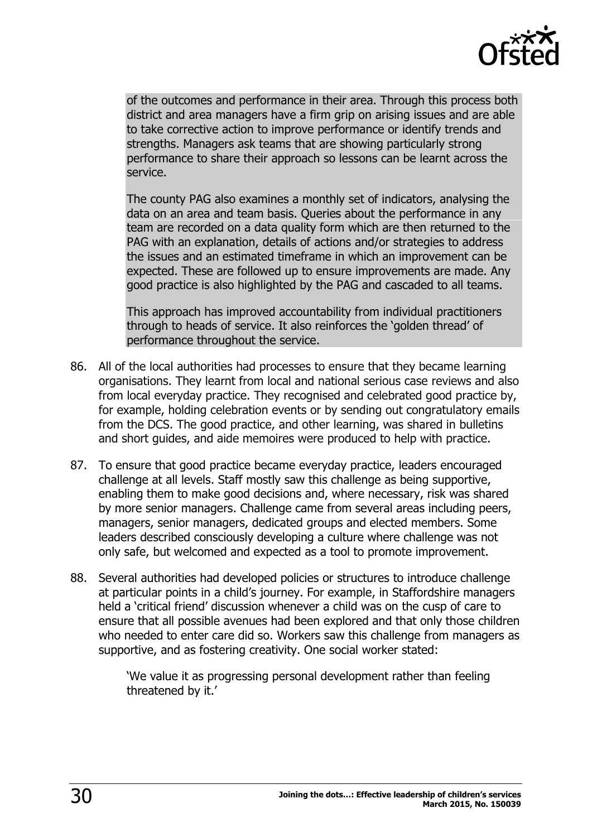

of the outcomes and performance in their area. Through this process both district and area managers have a firm grip on arising issues and are able to take corrective action to improve performance or identify trends and strengths. Managers ask teams that are showing particularly strong performance to share their approach so lessons can be learnt across the service.

The county PAG also examines a monthly set of indicators, analysing the data on an area and team basis. Queries about the performance in any team are recorded on a data quality form which are then returned to the PAG with an explanation, details of actions and/or strategies to address the issues and an estimated timeframe in which an improvement can be expected. These are followed up to ensure improvements are made. Any good practice is also highlighted by the PAG and cascaded to all teams.

This approach has improved accountability from individual practitioners through to heads of service. It also reinforces the 'golden thread' of performance throughout the service.

- 86. All of the local authorities had processes to ensure that they became learning organisations. They learnt from local and national serious case reviews and also from local everyday practice. They recognised and celebrated good practice by, for example, holding celebration events or by sending out congratulatory emails from the DCS. The good practice, and other learning, was shared in bulletins and short guides, and aide memoires were produced to help with practice.
- 87. To ensure that good practice became everyday practice, leaders encouraged challenge at all levels. Staff mostly saw this challenge as being supportive, enabling them to make good decisions and, where necessary, risk was shared by more senior managers. Challenge came from several areas including peers, managers, senior managers, dedicated groups and elected members. Some leaders described consciously developing a culture where challenge was not only safe, but welcomed and expected as a tool to promote improvement.
- 88. Several authorities had developed policies or structures to introduce challenge at particular points in a child's journey. For example, in Staffordshire managers held a 'critical friend' discussion whenever a child was on the cusp of care to ensure that all possible avenues had been explored and that only those children who needed to enter care did so. Workers saw this challenge from managers as supportive, and as fostering creativity. One social worker stated:

<span id="page-29-0"></span>'We value it as progressing personal development rather than feeling threatened by it.'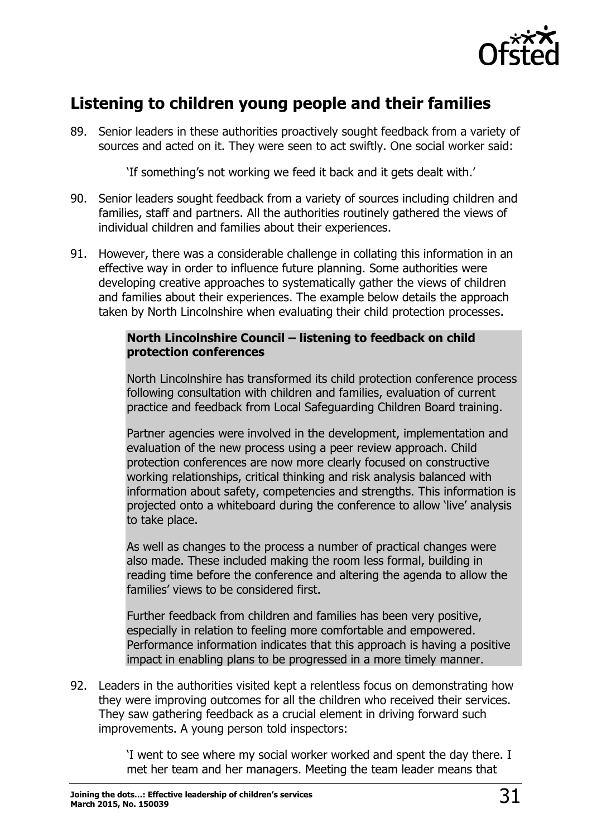

# **Listening to children young people and their families**

89. Senior leaders in these authorities proactively sought feedback from a variety of sources and acted on it. They were seen to act swiftly. One social worker said:

'If something's not working we feed it back and it gets dealt with.'

- 90. Senior leaders sought feedback from a variety of sources including children and families, staff and partners. All the authorities routinely gathered the views of individual children and families about their experiences.
- 91. However, there was a considerable challenge in collating this information in an effective way in order to influence future planning. Some authorities were developing creative approaches to systematically gather the views of children and families about their experiences. The example below details the approach taken by North Lincolnshire when evaluating their child protection processes.

#### **North Lincolnshire Council – listening to feedback on child protection conferences**

North Lincolnshire has transformed its child protection conference process following consultation with children and families, evaluation of current practice and feedback from Local Safeguarding Children Board training.

Partner agencies were involved in the development, implementation and evaluation of the new process using a peer review approach. Child protection conferences are now more clearly focused on constructive working relationships, critical thinking and risk analysis balanced with information about safety, competencies and strengths. This information is projected onto a whiteboard during the conference to allow 'live' analysis to take place.

As well as changes to the process a number of practical changes were also made. These included making the room less formal, building in reading time before the conference and altering the agenda to allow the families' views to be considered first.

Further feedback from children and families has been very positive, especially in relation to feeling more comfortable and empowered. Performance information indicates that this approach is having a positive impact in enabling plans to be progressed in a more timely manner.

92. Leaders in the authorities visited kept a relentless focus on demonstrating how they were improving outcomes for all the children who received their services. They saw gathering feedback as a crucial element in driving forward such improvements. A young person told inspectors:

> 'I went to see where my social worker worked and spent the day there. I met her team and her managers. Meeting the team leader means that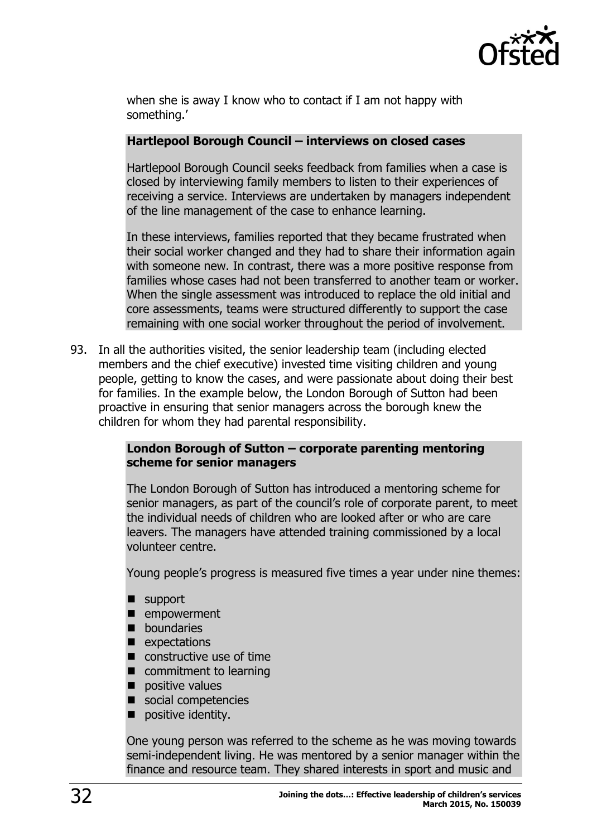

when she is away I know who to contact if I am not happy with something.'

#### **Hartlepool Borough Council – interviews on closed cases**

Hartlepool Borough Council seeks feedback from families when a case is closed by interviewing family members to listen to their experiences of receiving a service. Interviews are undertaken by managers independent of the line management of the case to enhance learning.

In these interviews, families reported that they became frustrated when their social worker changed and they had to share their information again with someone new. In contrast, there was a more positive response from families whose cases had not been transferred to another team or worker. When the single assessment was introduced to replace the old initial and core assessments, teams were structured differently to support the case remaining with one social worker throughout the period of involvement.

93. In all the authorities visited, the senior leadership team (including elected members and the chief executive) invested time visiting children and young people, getting to know the cases, and were passionate about doing their best for families. In the example below, the London Borough of Sutton had been proactive in ensuring that senior managers across the borough knew the children for whom they had parental responsibility.

#### **London Borough of Sutton – corporate parenting mentoring scheme for senior managers**

The London Borough of Sutton has introduced a mentoring scheme for senior managers, as part of the council's role of corporate parent, to meet the individual needs of children who are looked after or who are care leavers. The managers have attended training commissioned by a local volunteer centre.

Young people's progress is measured five times a year under nine themes:

- **support**
- **E** empowerment
- **n** boundaries
- $\blacksquare$  expectations
- constructive use of time
- commitment to learning
- positive values
- social competencies
- positive identity.

One young person was referred to the scheme as he was moving towards semi-independent living. He was mentored by a senior manager within the finance and resource team. They shared interests in sport and music and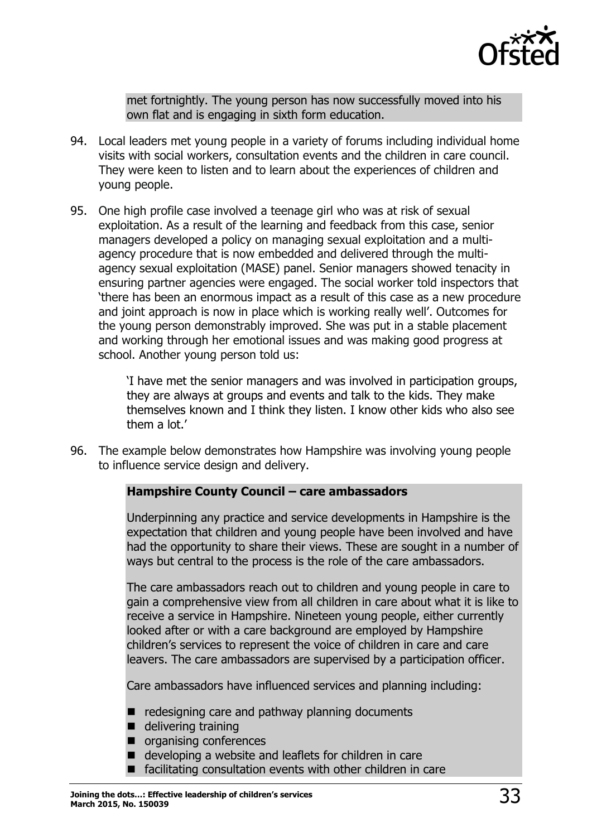

met fortnightly. The young person has now successfully moved into his own flat and is engaging in sixth form education.

- 94. Local leaders met young people in a variety of forums including individual home visits with social workers, consultation events and the children in care council. They were keen to listen and to learn about the experiences of children and young people.
- 95. One high profile case involved a teenage girl who was at risk of sexual exploitation. As a result of the learning and feedback from this case, senior managers developed a policy on managing sexual exploitation and a multiagency procedure that is now embedded and delivered through the multiagency sexual exploitation (MASE) panel. Senior managers showed tenacity in ensuring partner agencies were engaged. The social worker told inspectors that 'there has been an enormous impact as a result of this case as a new procedure and joint approach is now in place which is working really well'. Outcomes for the young person demonstrably improved. She was put in a stable placement and working through her emotional issues and was making good progress at school. Another young person told us:

'I have met the senior managers and was involved in participation groups, they are always at groups and events and talk to the kids. They make themselves known and I think they listen. I know other kids who also see them a lot.'

96. The example below demonstrates how Hampshire was involving young people to influence service design and delivery.

#### **Hampshire County Council – care ambassadors**

Underpinning any practice and service developments in Hampshire is the expectation that children and young people have been involved and have had the opportunity to share their views. These are sought in a number of ways but central to the process is the role of the care ambassadors.

The care ambassadors reach out to children and young people in care to gain a comprehensive view from all children in care about what it is like to receive a service in Hampshire. Nineteen young people, either currently looked after or with a care background are employed by Hampshire children's services to represent the voice of children in care and care leavers. The care ambassadors are supervised by a participation officer.

Care ambassadors have influenced services and planning including:

- $\blacksquare$  redesigning care and pathway planning documents
- delivering training
- $\blacksquare$  organising conferences
- developing a website and leaflets for children in care
- $\blacksquare$  facilitating consultation events with other children in care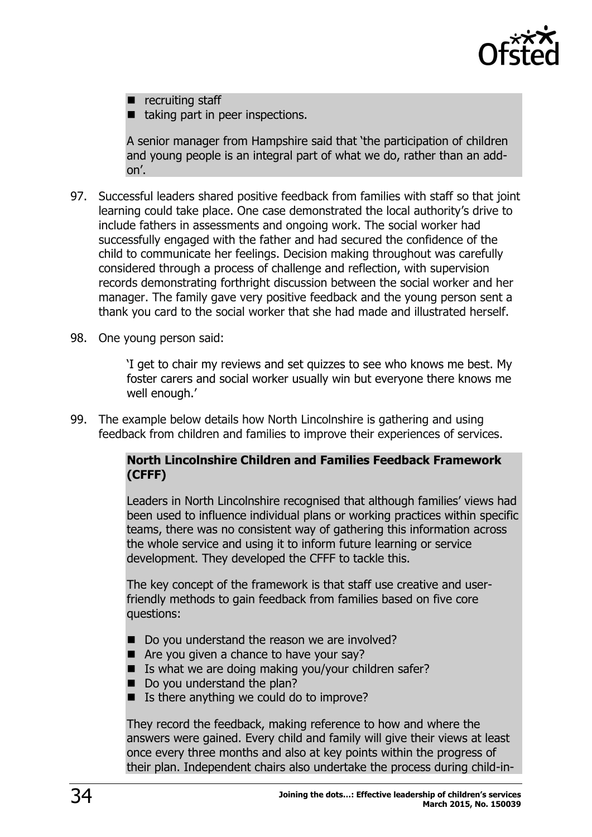

 $\blacksquare$  recruiting staff

 $\blacksquare$  taking part in peer inspections.

A senior manager from Hampshire said that 'the participation of children and young people is an integral part of what we do, rather than an addon'.

- 97. Successful leaders shared positive feedback from families with staff so that joint learning could take place. One case demonstrated the local authority's drive to include fathers in assessments and ongoing work. The social worker had successfully engaged with the father and had secured the confidence of the child to communicate her feelings. Decision making throughout was carefully considered through a process of challenge and reflection, with supervision records demonstrating forthright discussion between the social worker and her manager. The family gave very positive feedback and the young person sent a thank you card to the social worker that she had made and illustrated herself.
- 98. One young person said:

'I get to chair my reviews and set quizzes to see who knows me best. My foster carers and social worker usually win but everyone there knows me well enough.'

99. The example below details how North Lincolnshire is gathering and using feedback from children and families to improve their experiences of services.

#### **North Lincolnshire Children and Families Feedback Framework (CFFF)**

Leaders in North Lincolnshire recognised that although families' views had been used to influence individual plans or working practices within specific teams, there was no consistent way of gathering this information across the whole service and using it to inform future learning or service development. They developed the CFFF to tackle this.

The key concept of the framework is that staff use creative and userfriendly methods to gain feedback from families based on five core questions:

- Do you understand the reason we are involved?
- Are you given a chance to have your say?
- Is what we are doing making you/your children safer?
- Do you understand the plan?
- $\blacksquare$  Is there anything we could do to improve?

They record the feedback, making reference to how and where the answers were gained. Every child and family will give their views at least once every three months and also at key points within the progress of their plan. Independent chairs also undertake the process during child-in-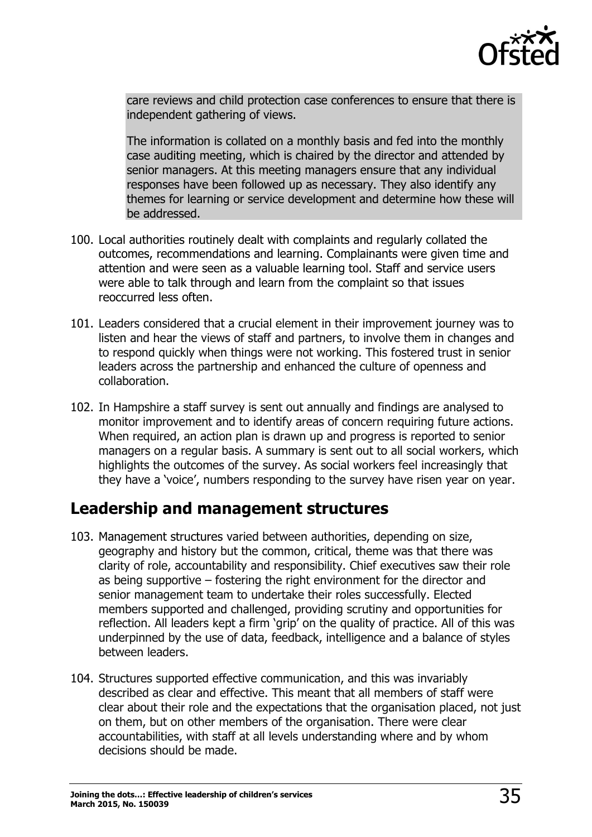

care reviews and child protection case conferences to ensure that there is independent gathering of views.

The information is collated on a monthly basis and fed into the monthly case auditing meeting, which is chaired by the director and attended by senior managers. At this meeting managers ensure that any individual responses have been followed up as necessary. They also identify any themes for learning or service development and determine how these will be addressed.

- 100. Local authorities routinely dealt with complaints and regularly collated the outcomes, recommendations and learning. Complainants were given time and attention and were seen as a valuable learning tool. Staff and service users were able to talk through and learn from the complaint so that issues reoccurred less often.
- 101. Leaders considered that a crucial element in their improvement journey was to listen and hear the views of staff and partners, to involve them in changes and to respond quickly when things were not working. This fostered trust in senior leaders across the partnership and enhanced the culture of openness and collaboration.
- 102. In Hampshire a staff survey is sent out annually and findings are analysed to monitor improvement and to identify areas of concern requiring future actions. When required, an action plan is drawn up and progress is reported to senior managers on a regular basis. A summary is sent out to all social workers, which highlights the outcomes of the survey. As social workers feel increasingly that they have a 'voice', numbers responding to the survey have risen year on year.

### <span id="page-34-0"></span>**Leadership and management structures**

- 103. Management structures varied between authorities, depending on size, geography and history but the common, critical, theme was that there was clarity of role, accountability and responsibility. Chief executives saw their role as being supportive – fostering the right environment for the director and senior management team to undertake their roles successfully. Elected members supported and challenged, providing scrutiny and opportunities for reflection. All leaders kept a firm 'grip' on the quality of practice. All of this was underpinned by the use of data, feedback, intelligence and a balance of styles between leaders.
- 104. Structures supported effective communication, and this was invariably described as clear and effective. This meant that all members of staff were clear about their role and the expectations that the organisation placed, not just on them, but on other members of the organisation. There were clear accountabilities, with staff at all levels understanding where and by whom decisions should be made.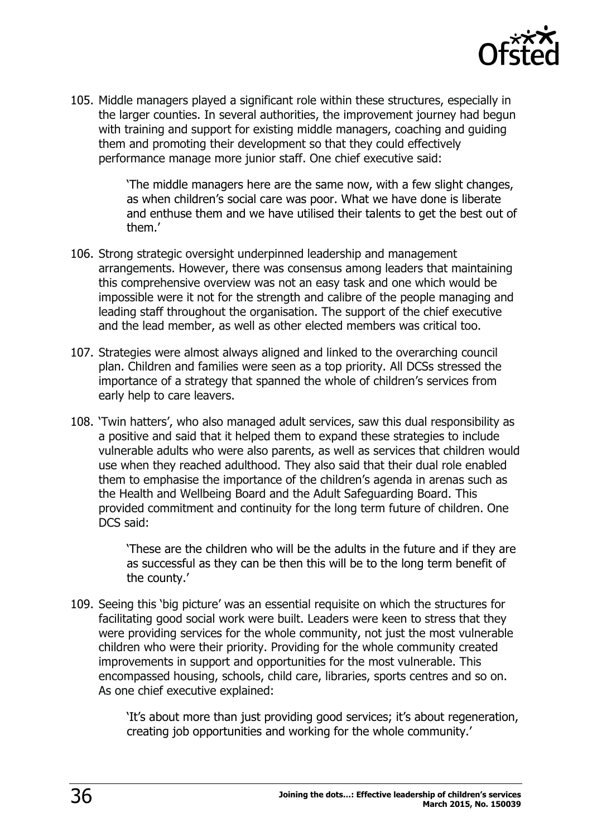

105. Middle managers played a significant role within these structures, especially in the larger counties. In several authorities, the improvement journey had begun with training and support for existing middle managers, coaching and guiding them and promoting their development so that they could effectively performance manage more junior staff. One chief executive said:

> 'The middle managers here are the same now, with a few slight changes, as when children's social care was poor. What we have done is liberate and enthuse them and we have utilised their talents to get the best out of them.'

- 106. Strong strategic oversight underpinned leadership and management arrangements. However, there was consensus among leaders that maintaining this comprehensive overview was not an easy task and one which would be impossible were it not for the strength and calibre of the people managing and leading staff throughout the organisation. The support of the chief executive and the lead member, as well as other elected members was critical too.
- 107. Strategies were almost always aligned and linked to the overarching council plan. Children and families were seen as a top priority. All DCSs stressed the importance of a strategy that spanned the whole of children's services from early help to care leavers.
- 108. 'Twin hatters', who also managed adult services, saw this dual responsibility as a positive and said that it helped them to expand these strategies to include vulnerable adults who were also parents, as well as services that children would use when they reached adulthood. They also said that their dual role enabled them to emphasise the importance of the children's agenda in arenas such as the Health and Wellbeing Board and the Adult Safeguarding Board. This provided commitment and continuity for the long term future of children. One DCS said:

'These are the children who will be the adults in the future and if they are as successful as they can be then this will be to the long term benefit of the county.'

109. Seeing this 'big picture' was an essential requisite on which the structures for facilitating good social work were built. Leaders were keen to stress that they were providing services for the whole community, not just the most vulnerable children who were their priority. Providing for the whole community created improvements in support and opportunities for the most vulnerable. This encompassed housing, schools, child care, libraries, sports centres and so on. As one chief executive explained:

> 'It's about more than just providing good services; it's about regeneration, creating job opportunities and working for the whole community.'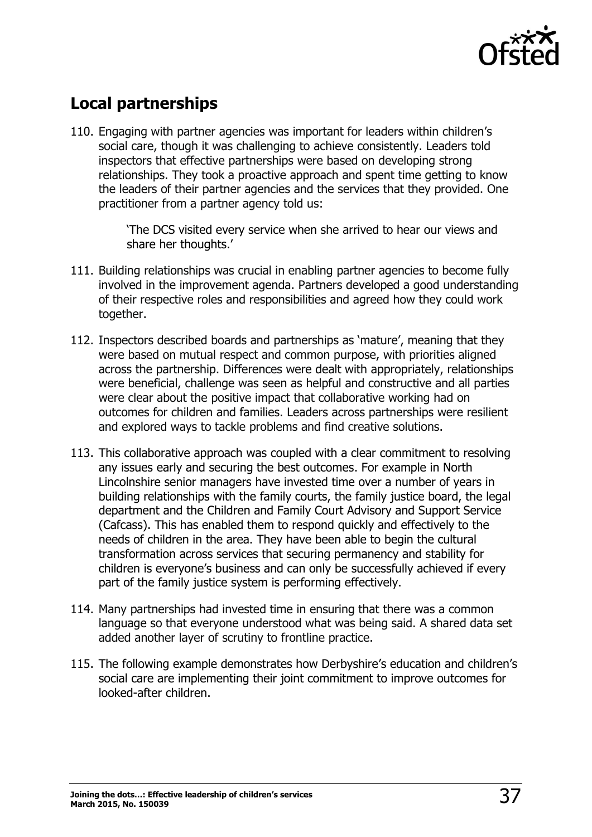

# <span id="page-36-0"></span>**Local partnerships**

110. Engaging with partner agencies was important for leaders within children's social care, though it was challenging to achieve consistently. Leaders told inspectors that effective partnerships were based on developing strong relationships. They took a proactive approach and spent time getting to know the leaders of their partner agencies and the services that they provided. One practitioner from a partner agency told us:

> 'The DCS visited every service when she arrived to hear our views and share her thoughts.'

- 111. Building relationships was crucial in enabling partner agencies to become fully involved in the improvement agenda. Partners developed a good understanding of their respective roles and responsibilities and agreed how they could work together.
- 112. Inspectors described boards and partnerships as 'mature', meaning that they were based on mutual respect and common purpose, with priorities aligned across the partnership. Differences were dealt with appropriately, relationships were beneficial, challenge was seen as helpful and constructive and all parties were clear about the positive impact that collaborative working had on outcomes for children and families. Leaders across partnerships were resilient and explored ways to tackle problems and find creative solutions.
- 113. This collaborative approach was coupled with a clear commitment to resolving any issues early and securing the best outcomes. For example in North Lincolnshire senior managers have invested time over a number of years in building relationships with the family courts, the family justice board, the legal department and the Children and Family Court Advisory and Support Service (Cafcass). This has enabled them to respond quickly and effectively to the needs of children in the area. They have been able to begin the cultural transformation across services that securing permanency and stability for children is everyone's business and can only be successfully achieved if every part of the family justice system is performing effectively.
- 114. Many partnerships had invested time in ensuring that there was a common language so that everyone understood what was being said. A shared data set added another layer of scrutiny to frontline practice.
- 115. The following example demonstrates how Derbyshire's education and children's social care are implementing their joint commitment to improve outcomes for looked-after children.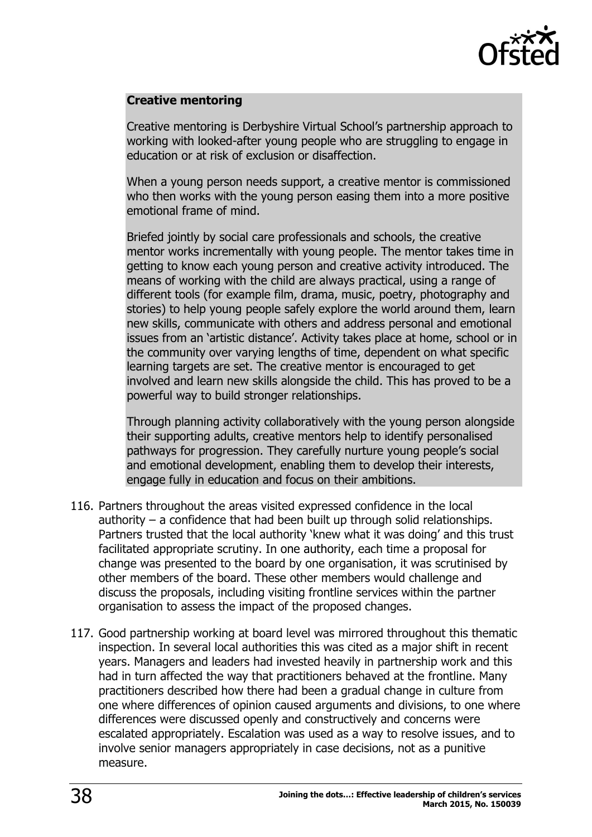

#### **Creative mentoring**

Creative mentoring is Derbyshire Virtual School's partnership approach to working with looked-after young people who are struggling to engage in education or at risk of exclusion or disaffection.

When a young person needs support, a creative mentor is commissioned who then works with the young person easing them into a more positive emotional frame of mind.

Briefed jointly by social care professionals and schools, the creative mentor works incrementally with young people. The mentor takes time in getting to know each young person and creative activity introduced. The means of working with the child are always practical, using a range of different tools (for example film, drama, music, poetry, photography and stories) to help young people safely explore the world around them, learn new skills, communicate with others and address personal and emotional issues from an 'artistic distance'. Activity takes place at home, school or in the community over varying lengths of time, dependent on what specific learning targets are set. The creative mentor is encouraged to get involved and learn new skills alongside the child. This has proved to be a powerful way to build stronger relationships.

Through planning activity collaboratively with the young person alongside their supporting adults, creative mentors help to identify personalised pathways for progression. They carefully nurture young people's social and emotional development, enabling them to develop their interests, engage fully in education and focus on their ambitions.

- 116. Partners throughout the areas visited expressed confidence in the local authority  $-$  a confidence that had been built up through solid relationships. Partners trusted that the local authority 'knew what it was doing' and this trust facilitated appropriate scrutiny. In one authority, each time a proposal for change was presented to the board by one organisation, it was scrutinised by other members of the board. These other members would challenge and discuss the proposals, including visiting frontline services within the partner organisation to assess the impact of the proposed changes.
- 117. Good partnership working at board level was mirrored throughout this thematic inspection. In several local authorities this was cited as a major shift in recent years. Managers and leaders had invested heavily in partnership work and this had in turn affected the way that practitioners behaved at the frontline. Many practitioners described how there had been a gradual change in culture from one where differences of opinion caused arguments and divisions, to one where differences were discussed openly and constructively and concerns were escalated appropriately. Escalation was used as a way to resolve issues, and to involve senior managers appropriately in case decisions, not as a punitive measure.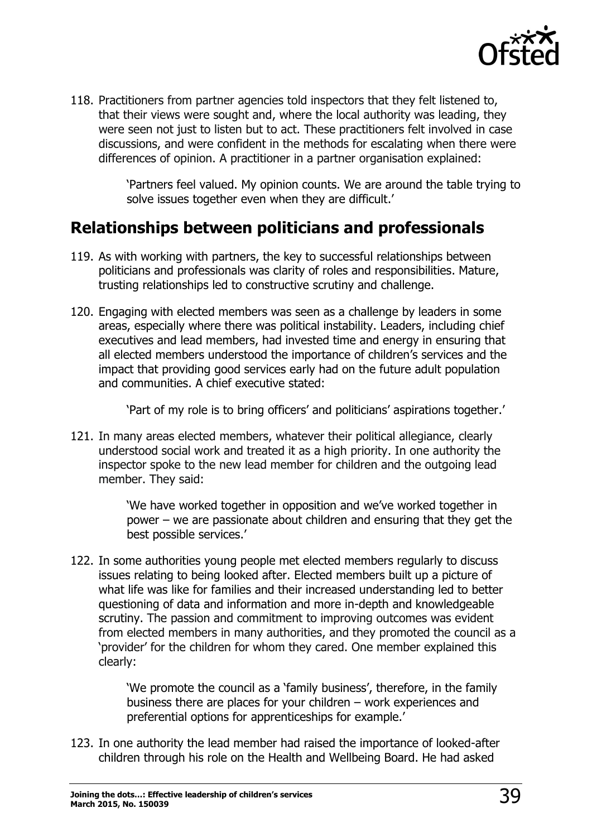

118. Practitioners from partner agencies told inspectors that they felt listened to, that their views were sought and, where the local authority was leading, they were seen not just to listen but to act. These practitioners felt involved in case discussions, and were confident in the methods for escalating when there were differences of opinion. A practitioner in a partner organisation explained:

> 'Partners feel valued. My opinion counts. We are around the table trying to solve issues together even when they are difficult.'

### <span id="page-38-0"></span>**Relationships between politicians and professionals**

- 119. As with working with partners, the key to successful relationships between politicians and professionals was clarity of roles and responsibilities. Mature, trusting relationships led to constructive scrutiny and challenge.
- 120. Engaging with elected members was seen as a challenge by leaders in some areas, especially where there was political instability. Leaders, including chief executives and lead members, had invested time and energy in ensuring that all elected members understood the importance of children's services and the impact that providing good services early had on the future adult population and communities. A chief executive stated:

'Part of my role is to bring officers' and politicians' aspirations together.'

121. In many areas elected members, whatever their political allegiance, clearly understood social work and treated it as a high priority. In one authority the inspector spoke to the new lead member for children and the outgoing lead member. They said:

> 'We have worked together in opposition and we've worked together in power – we are passionate about children and ensuring that they get the best possible services.'

122. In some authorities young people met elected members regularly to discuss issues relating to being looked after. Elected members built up a picture of what life was like for families and their increased understanding led to better questioning of data and information and more in-depth and knowledgeable scrutiny. The passion and commitment to improving outcomes was evident from elected members in many authorities, and they promoted the council as a 'provider' for the children for whom they cared. One member explained this clearly:

> 'We promote the council as a 'family business', therefore, in the family business there are places for your children – work experiences and preferential options for apprenticeships for example.'

123. In one authority the lead member had raised the importance of looked-after children through his role on the Health and Wellbeing Board. He had asked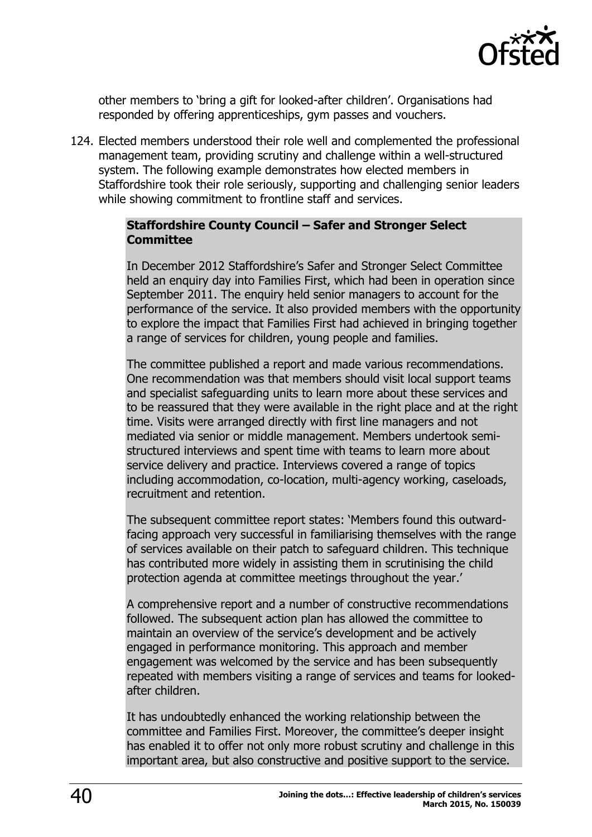

other members to 'bring a gift for looked-after children'. Organisations had responded by offering apprenticeships, gym passes and vouchers.

124. Elected members understood their role well and complemented the professional management team, providing scrutiny and challenge within a well-structured system. The following example demonstrates how elected members in Staffordshire took their role seriously, supporting and challenging senior leaders while showing commitment to frontline staff and services.

#### **Staffordshire County Council – Safer and Stronger Select Committee**

In December 2012 Staffordshire's Safer and Stronger Select Committee held an enquiry day into Families First, which had been in operation since September 2011. The enquiry held senior managers to account for the performance of the service. It also provided members with the opportunity to explore the impact that Families First had achieved in bringing together a range of services for children, young people and families.

The committee published a report and made various recommendations. One recommendation was that members should visit local support teams and specialist safeguarding units to learn more about these services and to be reassured that they were available in the right place and at the right time. Visits were arranged directly with first line managers and not mediated via senior or middle management. Members undertook semistructured interviews and spent time with teams to learn more about service delivery and practice. Interviews covered a range of topics including accommodation, co-location, multi-agency working, caseloads, recruitment and retention.

The subsequent committee report states: 'Members found this outwardfacing approach very successful in familiarising themselves with the range of services available on their patch to safeguard children. This technique has contributed more widely in assisting them in scrutinising the child protection agenda at committee meetings throughout the year.'

A comprehensive report and a number of constructive recommendations followed. The subsequent action plan has allowed the committee to maintain an overview of the service's development and be actively engaged in performance monitoring. This approach and member engagement was welcomed by the service and has been subsequently repeated with members visiting a range of services and teams for lookedafter children.

It has undoubtedly enhanced the working relationship between the committee and Families First. Moreover, the committee's deeper insight has enabled it to offer not only more robust scrutiny and challenge in this important area, but also constructive and positive support to the service.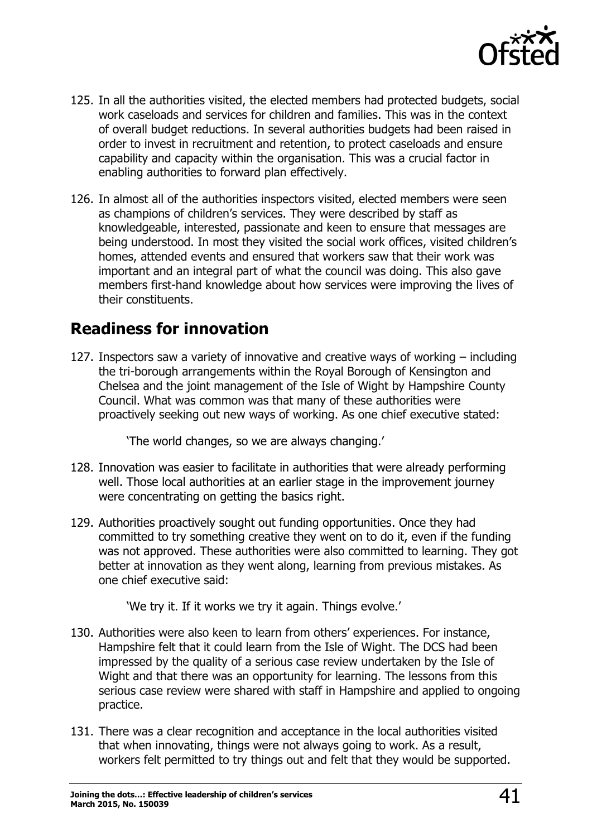

- 125. In all the authorities visited, the elected members had protected budgets, social work caseloads and services for children and families. This was in the context of overall budget reductions. In several authorities budgets had been raised in order to invest in recruitment and retention, to protect caseloads and ensure capability and capacity within the organisation. This was a crucial factor in enabling authorities to forward plan effectively.
- 126. In almost all of the authorities inspectors visited, elected members were seen as champions of children's services. They were described by staff as knowledgeable, interested, passionate and keen to ensure that messages are being understood. In most they visited the social work offices, visited children's homes, attended events and ensured that workers saw that their work was important and an integral part of what the council was doing. This also gave members first-hand knowledge about how services were improving the lives of their constituents.

# <span id="page-40-0"></span>**Readiness for innovation**

127. Inspectors saw a variety of innovative and creative ways of working – including the tri-borough arrangements within the Royal Borough of Kensington and Chelsea and the joint management of the Isle of Wight by Hampshire County Council. What was common was that many of these authorities were proactively seeking out new ways of working. As one chief executive stated:

'The world changes, so we are always changing.'

- 128. Innovation was easier to facilitate in authorities that were already performing well. Those local authorities at an earlier stage in the improvement journey were concentrating on getting the basics right.
- 129. Authorities proactively sought out funding opportunities. Once they had committed to try something creative they went on to do it, even if the funding was not approved. These authorities were also committed to learning. They got better at innovation as they went along, learning from previous mistakes. As one chief executive said:

'We try it. If it works we try it again. Things evolve.'

- 130. Authorities were also keen to learn from others' experiences. For instance, Hampshire felt that it could learn from the Isle of Wight. The DCS had been impressed by the quality of a serious case review undertaken by the Isle of Wight and that there was an opportunity for learning. The lessons from this serious case review were shared with staff in Hampshire and applied to ongoing practice.
- 131. There was a clear recognition and acceptance in the local authorities visited that when innovating, things were not always going to work. As a result, workers felt permitted to try things out and felt that they would be supported.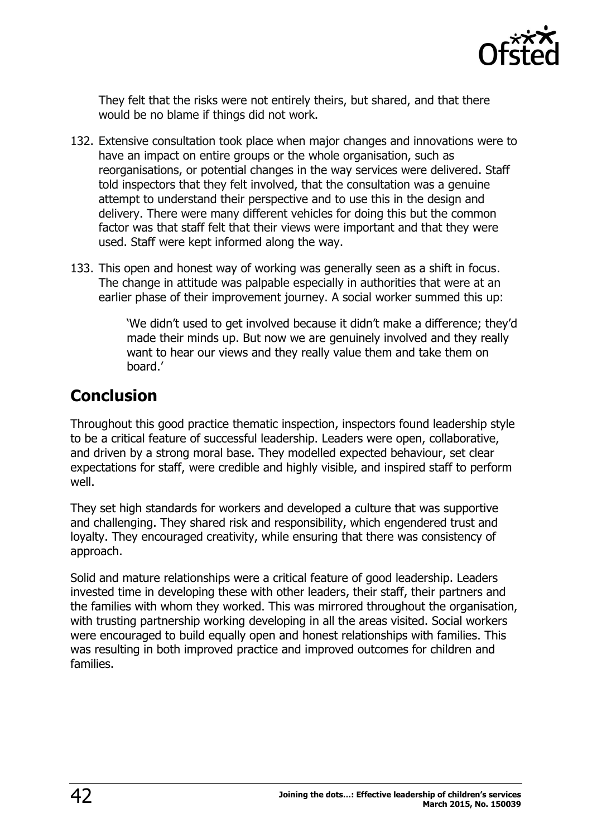

They felt that the risks were not entirely theirs, but shared, and that there would be no blame if things did not work.

- 132. Extensive consultation took place when major changes and innovations were to have an impact on entire groups or the whole organisation, such as reorganisations, or potential changes in the way services were delivered. Staff told inspectors that they felt involved, that the consultation was a genuine attempt to understand their perspective and to use this in the design and delivery. There were many different vehicles for doing this but the common factor was that staff felt that their views were important and that they were used. Staff were kept informed along the way.
- 133. This open and honest way of working was generally seen as a shift in focus. The change in attitude was palpable especially in authorities that were at an earlier phase of their improvement journey. A social worker summed this up:

'We didn't used to get involved because it didn't make a difference; they'd made their minds up. But now we are genuinely involved and they really want to hear our views and they really value them and take them on board.'

# <span id="page-41-0"></span>**Conclusion**

Throughout this good practice thematic inspection, inspectors found leadership style to be a critical feature of successful leadership. Leaders were open, collaborative, and driven by a strong moral base. They modelled expected behaviour, set clear expectations for staff, were credible and highly visible, and inspired staff to perform well.

They set high standards for workers and developed a culture that was supportive and challenging. They shared risk and responsibility, which engendered trust and loyalty. They encouraged creativity, while ensuring that there was consistency of approach.

Solid and mature relationships were a critical feature of good leadership. Leaders invested time in developing these with other leaders, their staff, their partners and the families with whom they worked. This was mirrored throughout the organisation, with trusting partnership working developing in all the areas visited. Social workers were encouraged to build equally open and honest relationships with families. This was resulting in both improved practice and improved outcomes for children and families.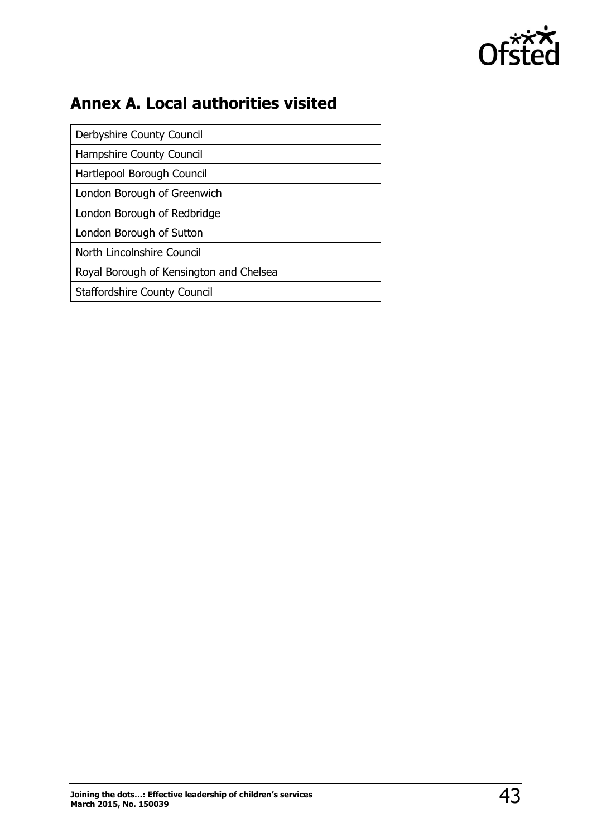

# <span id="page-42-0"></span>**Annex A. Local authorities visited**

| Derbyshire County Council               |
|-----------------------------------------|
| Hampshire County Council                |
| Hartlepool Borough Council              |
| London Borough of Greenwich             |
| London Borough of Redbridge             |
| London Borough of Sutton                |
| North Lincolnshire Council              |
| Royal Borough of Kensington and Chelsea |
| <b>Staffordshire County Council</b>     |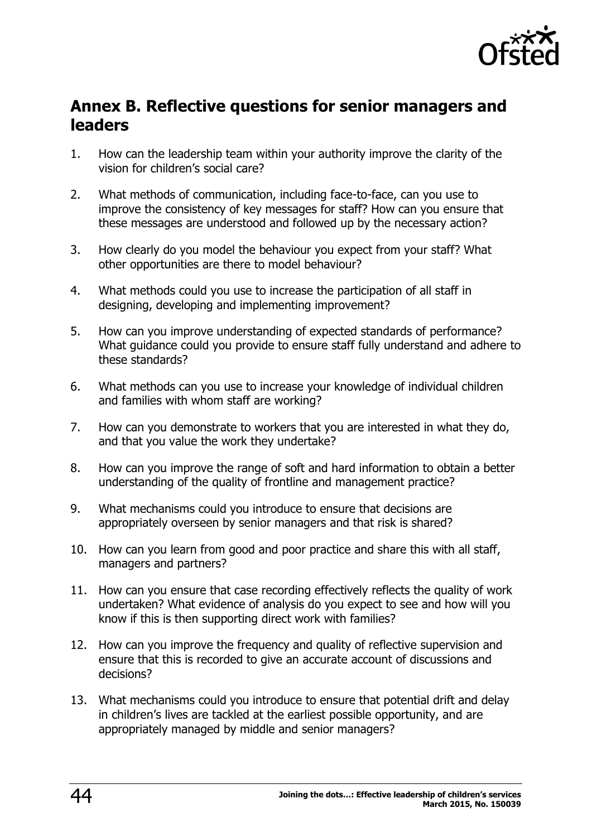

### <span id="page-43-0"></span>**Annex B. Reflective questions for senior managers and leaders**

- 1. How can the leadership team within your authority improve the clarity of the vision for children's social care?
- 2. What methods of communication, including face-to-face, can you use to improve the consistency of key messages for staff? How can you ensure that these messages are understood and followed up by the necessary action?
- 3. How clearly do you model the behaviour you expect from your staff? What other opportunities are there to model behaviour?
- 4. What methods could you use to increase the participation of all staff in designing, developing and implementing improvement?
- 5. How can you improve understanding of expected standards of performance? What guidance could you provide to ensure staff fully understand and adhere to these standards?
- 6. What methods can you use to increase your knowledge of individual children and families with whom staff are working?
- 7. How can you demonstrate to workers that you are interested in what they do, and that you value the work they undertake?
- 8. How can you improve the range of soft and hard information to obtain a better understanding of the quality of frontline and management practice?
- 9. What mechanisms could you introduce to ensure that decisions are appropriately overseen by senior managers and that risk is shared?
- 10. How can you learn from good and poor practice and share this with all staff, managers and partners?
- 11. How can you ensure that case recording effectively reflects the quality of work undertaken? What evidence of analysis do you expect to see and how will you know if this is then supporting direct work with families?
- 12. How can you improve the frequency and quality of reflective supervision and ensure that this is recorded to give an accurate account of discussions and decisions?
- 13. What mechanisms could you introduce to ensure that potential drift and delay in children's lives are tackled at the earliest possible opportunity, and are appropriately managed by middle and senior managers?